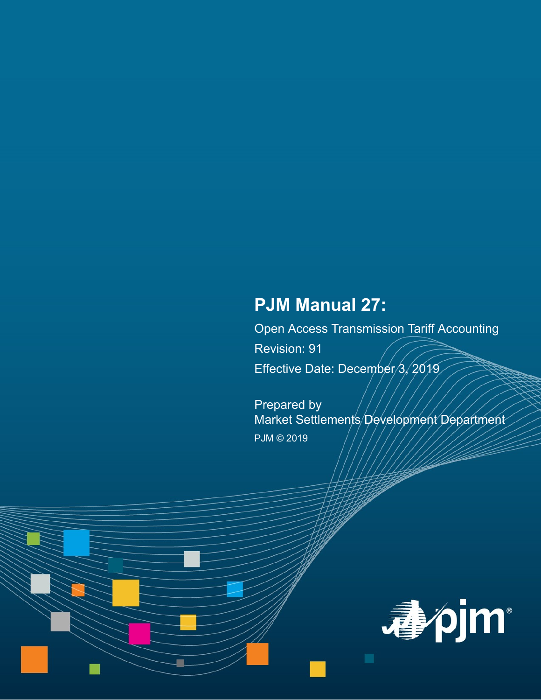# **PJM Manual 27:**

Open Access Transmission Tariff Accounting Revision: 91

Effective Date: December/3, 2019

Prepared by Market Settlements Development Department PJM © 2019

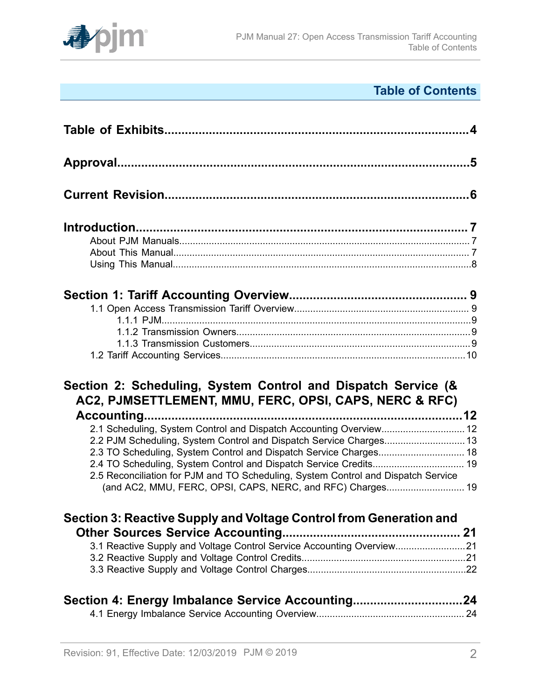

# **Table of Contents**

| Section 2: Scheduling, System Control and Dispatch Service (&<br>AC2, PJMSETTLEMENT, MMU, FERC, OPSI, CAPS, NERC & RFC)                         |  |
|-------------------------------------------------------------------------------------------------------------------------------------------------|--|
| 2.1 Scheduling, System Control and Dispatch Accounting Overview 12                                                                              |  |
|                                                                                                                                                 |  |
|                                                                                                                                                 |  |
|                                                                                                                                                 |  |
| 2.5 Reconciliation for PJM and TO Scheduling, System Control and Dispatch Service<br>(and AC2, MMU, FERC, OPSI, CAPS, NERC, and RFC) Charges 19 |  |
| Section 3: Reactive Supply and Voltage Control from Generation and                                                                              |  |
|                                                                                                                                                 |  |
|                                                                                                                                                 |  |
| 3.1 Reactive Supply and Voltage Control Service Accounting Overview21                                                                           |  |
|                                                                                                                                                 |  |
| Section 4: Energy Imbalance Service Accounting24                                                                                                |  |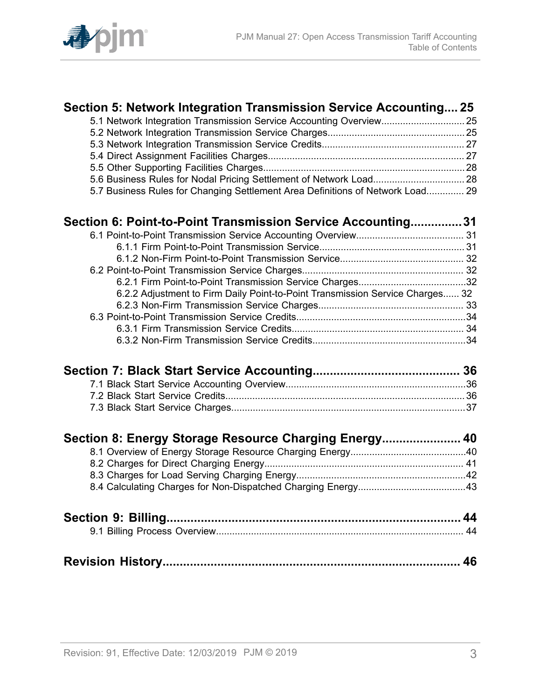

| Section 5: Network Integration Transmission Service Accounting 25              |    |
|--------------------------------------------------------------------------------|----|
| 5.1 Network Integration Transmission Service Accounting Overview 25            |    |
|                                                                                |    |
|                                                                                |    |
|                                                                                |    |
|                                                                                |    |
| 5.6 Business Rules for Nodal Pricing Settlement of Network Load 28             |    |
| 5.7 Business Rules for Changing Settlement Area Definitions of Network Load 29 |    |
| Section 6: Point-to-Point Transmission Service Accounting31                    |    |
|                                                                                |    |
|                                                                                |    |
|                                                                                |    |
|                                                                                |    |
|                                                                                |    |
| 6.2.2 Adjustment to Firm Daily Point-to-Point Transmission Service Charges 32  |    |
|                                                                                |    |
|                                                                                |    |
|                                                                                |    |
|                                                                                |    |
|                                                                                |    |
|                                                                                |    |
|                                                                                |    |
|                                                                                |    |
| Section 8: Energy Storage Resource Charging Energy 40                          |    |
|                                                                                |    |
|                                                                                |    |
|                                                                                |    |
|                                                                                |    |
|                                                                                |    |
|                                                                                |    |
|                                                                                | 46 |
|                                                                                |    |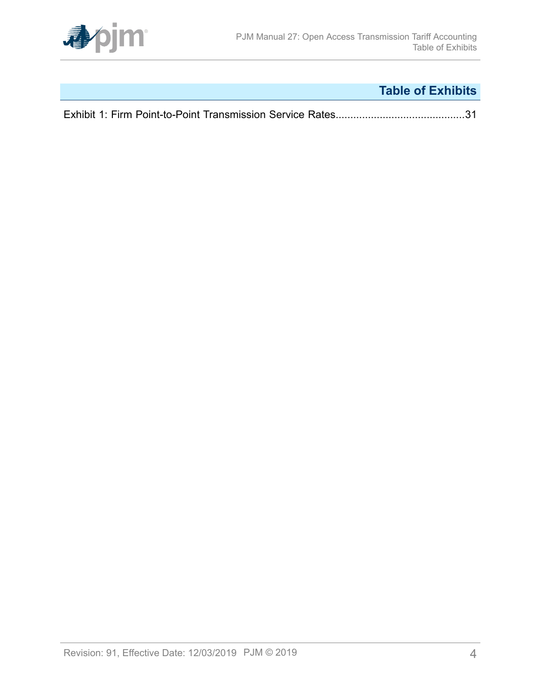

# **Table of Exhibits**

<span id="page-3-0"></span>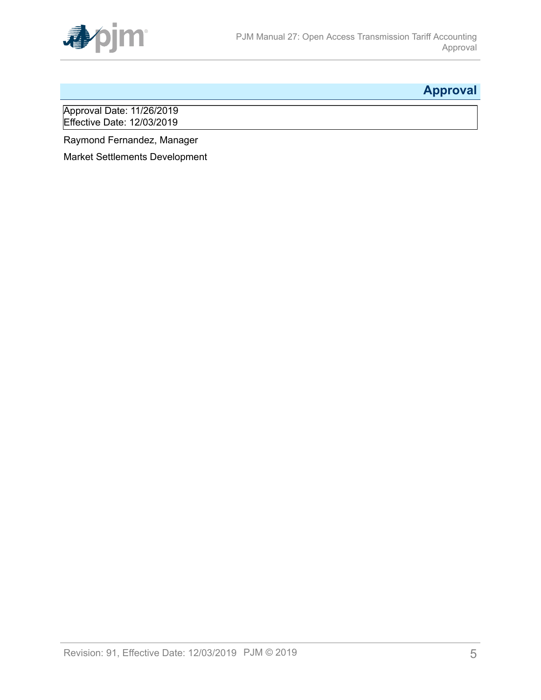

# <span id="page-4-0"></span>**Approval**

Approval Date: 11/26/2019 Effective Date: 12/03/2019

Raymond Fernandez, Manager

Market Settlements Development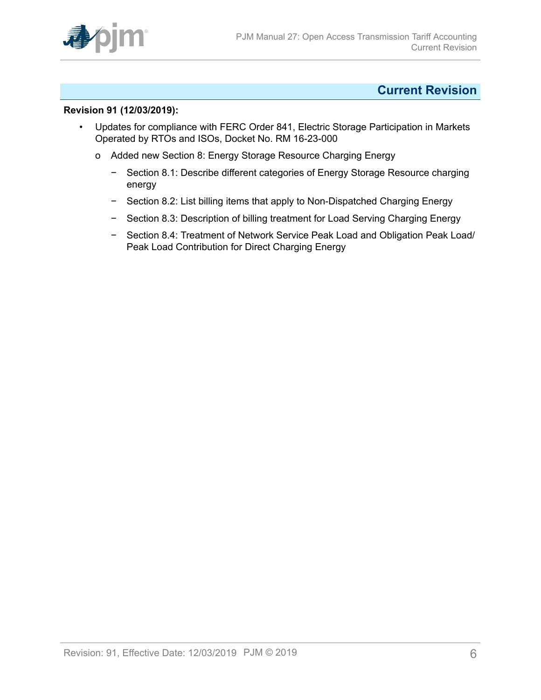

### <span id="page-5-0"></span>**Current Revision**

#### **Revision 91 (12/03/2019):**

- Updates for compliance with FERC Order 841, Electric Storage Participation in Markets Operated by RTOs and ISOs, Docket No. RM 16-23-000
	- o Added new Section 8: Energy Storage Resource Charging Energy
		- − Section 8.1: Describe different categories of Energy Storage Resource charging energy
		- − Section 8.2: List billing items that apply to Non-Dispatched Charging Energy
		- − Section 8.3: Description of billing treatment for Load Serving Charging Energy
		- − Section 8.4: Treatment of Network Service Peak Load and Obligation Peak Load/ Peak Load Contribution for Direct Charging Energy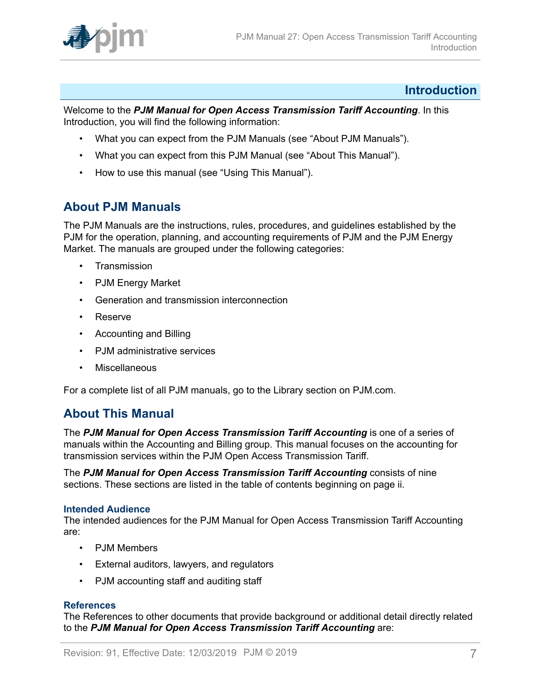

### <span id="page-6-0"></span>**Introduction**

Welcome to the *PJM Manual for Open Access Transmission Tariff Accounting*. In this Introduction, you will find the following information:

- What you can expect from the PJM Manuals (see "About PJM Manuals").
- What you can expect from this PJM Manual (see "About This Manual").
- How to use this manual (see "Using This Manual").

### <span id="page-6-1"></span>**About PJM Manuals**

The PJM Manuals are the instructions, rules, procedures, and guidelines established by the PJM for the operation, planning, and accounting requirements of PJM and the PJM Energy Market. The manuals are grouped under the following categories:

- **Transmission**
- PJM Energy Market
- Generation and transmission interconnection
- Reserve
- Accounting and Billing
- PJM administrative services
- Miscellaneous

For a complete list of all PJM manuals, go to the Library section on PJM.com.

### <span id="page-6-2"></span>**About This Manual**

The *PJM Manual for Open Access Transmission Tariff Accounting* is one of a series of manuals within the Accounting and Billing group. This manual focuses on the accounting for transmission services within the PJM Open Access Transmission Tariff.

The *PJM Manual for Open Access Transmission Tariff Accounting* consists of nine sections. These sections are listed in the table of contents beginning on page ii.

#### **Intended Audience**

The intended audiences for the PJM Manual for Open Access Transmission Tariff Accounting are:

- PJM Members
- External auditors, lawyers, and regulators
- PJM accounting staff and auditing staff

#### **References**

The References to other documents that provide background or additional detail directly related to the *PJM Manual for Open Access Transmission Tariff Accounting* are: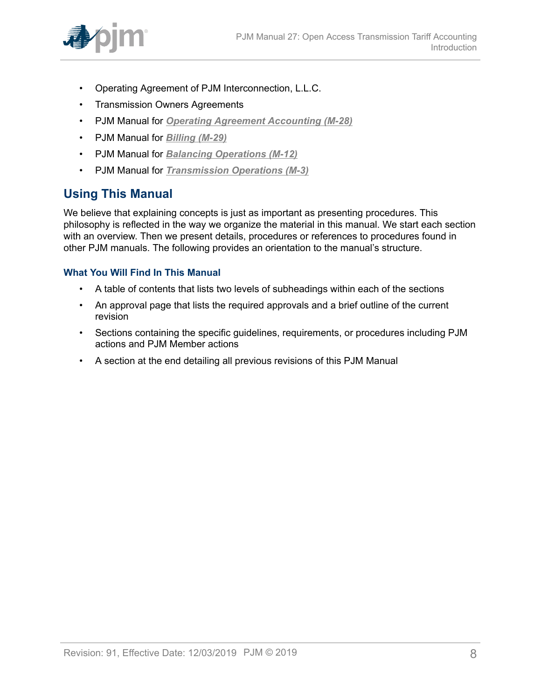

- Operating Agreement of PJM Interconnection, L.L.C.
- Transmission Owners Agreements
- PJM Manual for *[Operating Agreement Accounting \(M-28\)](http://www.pjm.com/~/media/documents/manuals/m28.ashx)*
- PJM Manual for *[Billing \(M-29\)](http://www.pjm.com/~/media/documents/manuals/m29.ashx)*
- PJM Manual for *[Balancing Operations \(M-12\)](http://www.pjm.com/~/media/documents/manuals/m12.ashx)*
- PJM Manual for *[Transmission](http://www.pjm.com/~/media/documents/manuals/m03.ashx) Operations (M-3)*

### <span id="page-7-0"></span>**Using This Manual**

We believe that explaining concepts is just as important as presenting procedures. This philosophy is reflected in the way we organize the material in this manual. We start each section with an overview. Then we present details, procedures or references to procedures found in other PJM manuals. The following provides an orientation to the manual's structure.

#### **What You Will Find In This Manual**

- A table of contents that lists two levels of subheadings within each of the sections
- An approval page that lists the required approvals and a brief outline of the current revision
- Sections containing the specific guidelines, requirements, or procedures including PJM actions and PJM Member actions
- A section at the end detailing all previous revisions of this PJM Manual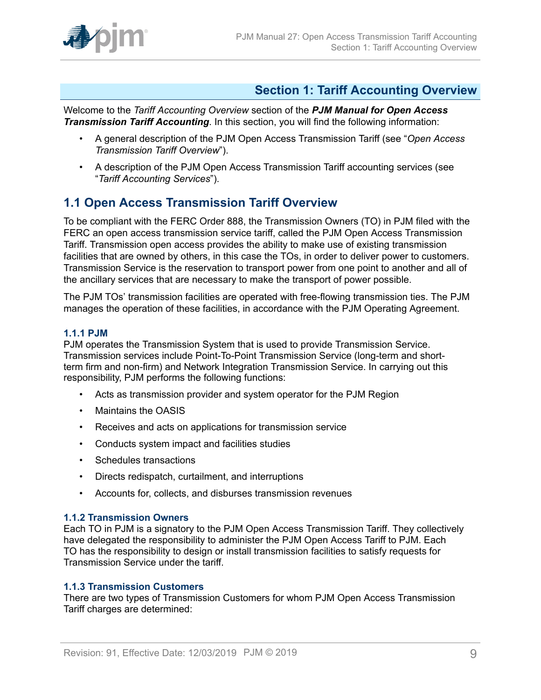

### <span id="page-8-0"></span>**Section 1: Tariff Accounting Overview**

Welcome to the *Tariff Accounting Overview* section of the *PJM Manual for Open Access Transmission Tariff Accounting*. In this section, you will find the following information:

- A general description of the PJM Open Access Transmission Tariff (see "*Open Access Transmission Tariff Overview*").
- A description of the PJM Open Access Transmission Tariff accounting services (see "*Tariff Accounting Services*").

### <span id="page-8-1"></span>**1.1 Open Access Transmission Tariff Overview**

To be compliant with the FERC Order 888, the Transmission Owners (TO) in PJM filed with the FERC an open access transmission service tariff, called the PJM Open Access Transmission Tariff. Transmission open access provides the ability to make use of existing transmission facilities that are owned by others, in this case the TOs, in order to deliver power to customers. Transmission Service is the reservation to transport power from one point to another and all of the ancillary services that are necessary to make the transport of power possible.

The PJM TOs' transmission facilities are operated with free-flowing transmission ties. The PJM manages the operation of these facilities, in accordance with the PJM Operating Agreement.

#### <span id="page-8-2"></span>**1.1.1 PJM**

PJM operates the Transmission System that is used to provide Transmission Service. Transmission services include Point-To-Point Transmission Service (long-term and shortterm firm and non-firm) and Network Integration Transmission Service. In carrying out this responsibility, PJM performs the following functions:

- Acts as transmission provider and system operator for the PJM Region
- Maintains the OASIS
- Receives and acts on applications for transmission service
- Conducts system impact and facilities studies
- Schedules transactions
- Directs redispatch, curtailment, and interruptions
- Accounts for, collects, and disburses transmission revenues

#### <span id="page-8-3"></span>**1.1.2 Transmission Owners**

Each TO in PJM is a signatory to the PJM Open Access Transmission Tariff. They collectively have delegated the responsibility to administer the PJM Open Access Tariff to PJM. Each TO has the responsibility to design or install transmission facilities to satisfy requests for Transmission Service under the tariff.

#### <span id="page-8-4"></span>**1.1.3 Transmission Customers**

There are two types of Transmission Customers for whom PJM Open Access Transmission Tariff charges are determined: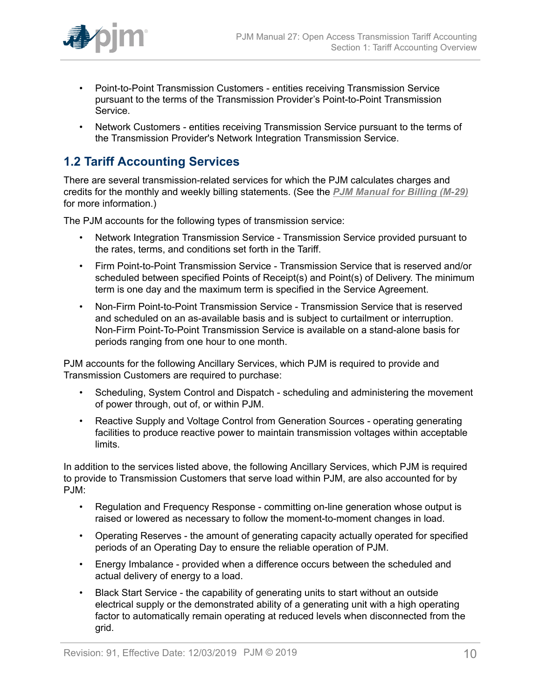

- Point-to-Point Transmission Customers entities receiving Transmission Service pursuant to the terms of the Transmission Provider's Point-to-Point Transmission Service.
- Network Customers entities receiving Transmission Service pursuant to the terms of the Transmission Provider's Network Integration Transmission Service.

### <span id="page-9-0"></span>**1.2 Tariff Accounting Services**

There are several transmission-related services for which the PJM calculates charges and credits for the monthly and weekly billing statements. (See the *[PJM Manual for Billing \(M-29\)](http://www.pjm.com/~/media/documents/manuals/m29.ashx)* for more information.)

The PJM accounts for the following types of transmission service:

- Network Integration Transmission Service Transmission Service provided pursuant to the rates, terms, and conditions set forth in the Tariff.
- Firm Point-to-Point Transmission Service Transmission Service that is reserved and/or scheduled between specified Points of Receipt(s) and Point(s) of Delivery. The minimum term is one day and the maximum term is specified in the Service Agreement.
- Non-Firm Point-to-Point Transmission Service Transmission Service that is reserved and scheduled on an as-available basis and is subject to curtailment or interruption. Non-Firm Point-To-Point Transmission Service is available on a stand-alone basis for periods ranging from one hour to one month.

PJM accounts for the following Ancillary Services, which PJM is required to provide and Transmission Customers are required to purchase:

- Scheduling, System Control and Dispatch scheduling and administering the movement of power through, out of, or within PJM.
- Reactive Supply and Voltage Control from Generation Sources operating generating facilities to produce reactive power to maintain transmission voltages within acceptable limits.

In addition to the services listed above, the following Ancillary Services, which PJM is required to provide to Transmission Customers that serve load within PJM, are also accounted for by PJM:

- Regulation and Frequency Response committing on-line generation whose output is raised or lowered as necessary to follow the moment-to-moment changes in load.
- Operating Reserves the amount of generating capacity actually operated for specified periods of an Operating Day to ensure the reliable operation of PJM.
- Energy Imbalance provided when a difference occurs between the scheduled and actual delivery of energy to a load.
- Black Start Service the capability of generating units to start without an outside electrical supply or the demonstrated ability of a generating unit with a high operating factor to automatically remain operating at reduced levels when disconnected from the grid.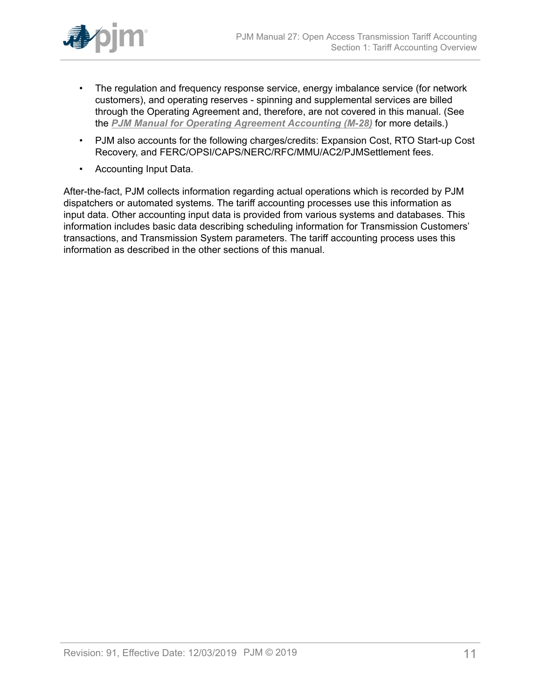

- The regulation and frequency response service, energy imbalance service (for network customers), and operating reserves - spinning and supplemental services are billed through the Operating Agreement and, therefore, are not covered in this manual. (See the *[PJM Manual for Operating Agreement Accounting \(M-28\)](http://www.pjm.com/~/media/documents/manuals/m28.ashx)* for more details.)
- PJM also accounts for the following charges/credits: Expansion Cost, RTO Start-up Cost Recovery, and FERC/OPSI/CAPS/NERC/RFC/MMU/AC2/PJMSettlement fees.
- Accounting Input Data.

After-the-fact, PJM collects information regarding actual operations which is recorded by PJM dispatchers or automated systems. The tariff accounting processes use this information as input data. Other accounting input data is provided from various systems and databases. This information includes basic data describing scheduling information for Transmission Customers' transactions, and Transmission System parameters. The tariff accounting process uses this information as described in the other sections of this manual.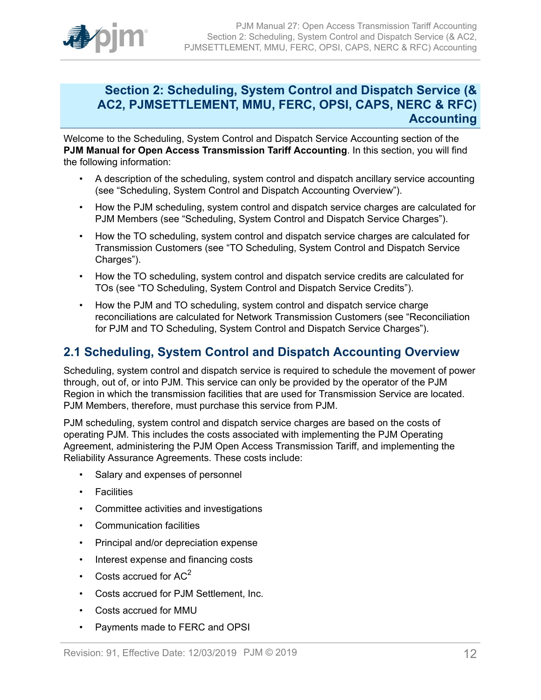

### <span id="page-11-0"></span>**Section 2: Scheduling, System Control and Dispatch Service (& AC2, PJMSETTLEMENT, MMU, FERC, OPSI, CAPS, NERC & RFC) Accounting**

Welcome to the Scheduling, System Control and Dispatch Service Accounting section of the **PJM Manual for Open Access Transmission Tariff Accounting**. In this section, you will find the following information:

- A description of the scheduling, system control and dispatch ancillary service accounting (see "Scheduling, System Control and Dispatch Accounting Overview").
- How the PJM scheduling, system control and dispatch service charges are calculated for PJM Members (see "Scheduling, System Control and Dispatch Service Charges").
- How the TO scheduling, system control and dispatch service charges are calculated for Transmission Customers (see "TO Scheduling, System Control and Dispatch Service Charges").
- How the TO scheduling, system control and dispatch service credits are calculated for TOs (see "TO Scheduling, System Control and Dispatch Service Credits").
- How the PJM and TO scheduling, system control and dispatch service charge reconciliations are calculated for Network Transmission Customers (see "Reconciliation for PJM and TO Scheduling, System Control and Dispatch Service Charges").

### <span id="page-11-1"></span>**2.1 Scheduling, System Control and Dispatch Accounting Overview**

Scheduling, system control and dispatch service is required to schedule the movement of power through, out of, or into PJM. This service can only be provided by the operator of the PJM Region in which the transmission facilities that are used for Transmission Service are located. PJM Members, therefore, must purchase this service from PJM.

PJM scheduling, system control and dispatch service charges are based on the costs of operating PJM. This includes the costs associated with implementing the PJM Operating Agreement, administering the PJM Open Access Transmission Tariff, and implementing the Reliability Assurance Agreements. These costs include:

- Salary and expenses of personnel
- Facilities
- Committee activities and investigations
- Communication facilities
- Principal and/or depreciation expense
- Interest expense and financing costs
- Costs accrued for  $AC<sup>2</sup>$
- Costs accrued for PJM Settlement, Inc.
- Costs accrued for MMU
- Payments made to FERC and OPSI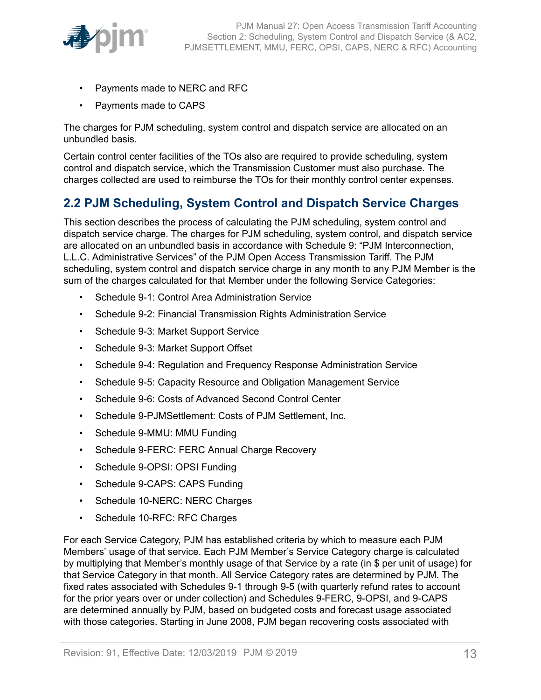

- Payments made to NERC and RFC
- Payments made to CAPS

The charges for PJM scheduling, system control and dispatch service are allocated on an unbundled basis.

Certain control center facilities of the TOs also are required to provide scheduling, system control and dispatch service, which the Transmission Customer must also purchase. The charges collected are used to reimburse the TOs for their monthly control center expenses.

### <span id="page-12-0"></span>**2.2 PJM Scheduling, System Control and Dispatch Service Charges**

This section describes the process of calculating the PJM scheduling, system control and dispatch service charge. The charges for PJM scheduling, system control, and dispatch service are allocated on an unbundled basis in accordance with Schedule 9: "PJM Interconnection, L.L.C. Administrative Services" of the PJM Open Access Transmission Tariff. The PJM scheduling, system control and dispatch service charge in any month to any PJM Member is the sum of the charges calculated for that Member under the following Service Categories:

- Schedule 9-1: Control Area Administration Service
- Schedule 9-2: Financial Transmission Rights Administration Service
- Schedule 9-3: Market Support Service
- Schedule 9-3: Market Support Offset
- Schedule 9-4: Regulation and Frequency Response Administration Service
- Schedule 9-5: Capacity Resource and Obligation Management Service
- Schedule 9-6: Costs of Advanced Second Control Center
- Schedule 9-PJMSettlement: Costs of PJM Settlement, Inc.
- Schedule 9-MMU: MMU Funding
- Schedule 9-FERC: FERC Annual Charge Recovery
- Schedule 9-OPSI: OPSI Funding
- Schedule 9-CAPS: CAPS Funding
- Schedule 10-NERC: NERC Charges
- Schedule 10-RFC: RFC Charges

For each Service Category, PJM has established criteria by which to measure each PJM Members' usage of that service. Each PJM Member's Service Category charge is calculated by multiplying that Member's monthly usage of that Service by a rate (in \$ per unit of usage) for that Service Category in that month. All Service Category rates are determined by PJM. The fixed rates associated with Schedules 9-1 through 9-5 (with quarterly refund rates to account for the prior years over or under collection) and Schedules 9-FERC, 9-OPSI, and 9-CAPS are determined annually by PJM, based on budgeted costs and forecast usage associated with those categories. Starting in June 2008, PJM began recovering costs associated with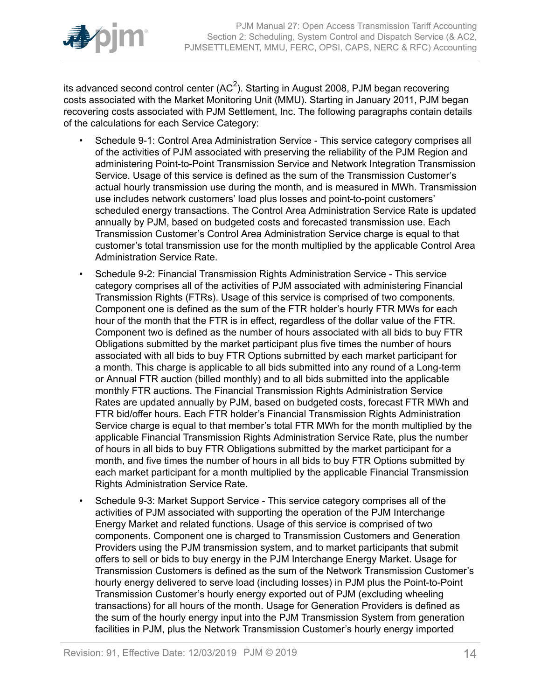

its advanced second control center (AC<sup>2</sup>). Starting in August 2008, PJM began recovering costs associated with the Market Monitoring Unit (MMU). Starting in January 2011, PJM began recovering costs associated with PJM Settlement, Inc. The following paragraphs contain details of the calculations for each Service Category:

- Schedule 9-1: Control Area Administration Service This service category comprises all of the activities of PJM associated with preserving the reliability of the PJM Region and administering Point-to-Point Transmission Service and Network Integration Transmission Service. Usage of this service is defined as the sum of the Transmission Customer's actual hourly transmission use during the month, and is measured in MWh. Transmission use includes network customers' load plus losses and point-to-point customers' scheduled energy transactions. The Control Area Administration Service Rate is updated annually by PJM, based on budgeted costs and forecasted transmission use. Each Transmission Customer's Control Area Administration Service charge is equal to that customer's total transmission use for the month multiplied by the applicable Control Area Administration Service Rate.
- Schedule 9-2: Financial Transmission Rights Administration Service This service category comprises all of the activities of PJM associated with administering Financial Transmission Rights (FTRs). Usage of this service is comprised of two components. Component one is defined as the sum of the FTR holder's hourly FTR MWs for each hour of the month that the FTR is in effect, regardless of the dollar value of the FTR. Component two is defined as the number of hours associated with all bids to buy FTR Obligations submitted by the market participant plus five times the number of hours associated with all bids to buy FTR Options submitted by each market participant for a month. This charge is applicable to all bids submitted into any round of a Long-term or Annual FTR auction (billed monthly) and to all bids submitted into the applicable monthly FTR auctions. The Financial Transmission Rights Administration Service Rates are updated annually by PJM, based on budgeted costs, forecast FTR MWh and FTR bid/offer hours. Each FTR holder's Financial Transmission Rights Administration Service charge is equal to that member's total FTR MWh for the month multiplied by the applicable Financial Transmission Rights Administration Service Rate, plus the number of hours in all bids to buy FTR Obligations submitted by the market participant for a month, and five times the number of hours in all bids to buy FTR Options submitted by each market participant for a month multiplied by the applicable Financial Transmission Rights Administration Service Rate.
- Schedule 9-3: Market Support Service This service category comprises all of the activities of PJM associated with supporting the operation of the PJM Interchange Energy Market and related functions. Usage of this service is comprised of two components. Component one is charged to Transmission Customers and Generation Providers using the PJM transmission system, and to market participants that submit offers to sell or bids to buy energy in the PJM Interchange Energy Market. Usage for Transmission Customers is defined as the sum of the Network Transmission Customer's hourly energy delivered to serve load (including losses) in PJM plus the Point-to-Point Transmission Customer's hourly energy exported out of PJM (excluding wheeling transactions) for all hours of the month. Usage for Generation Providers is defined as the sum of the hourly energy input into the PJM Transmission System from generation facilities in PJM, plus the Network Transmission Customer's hourly energy imported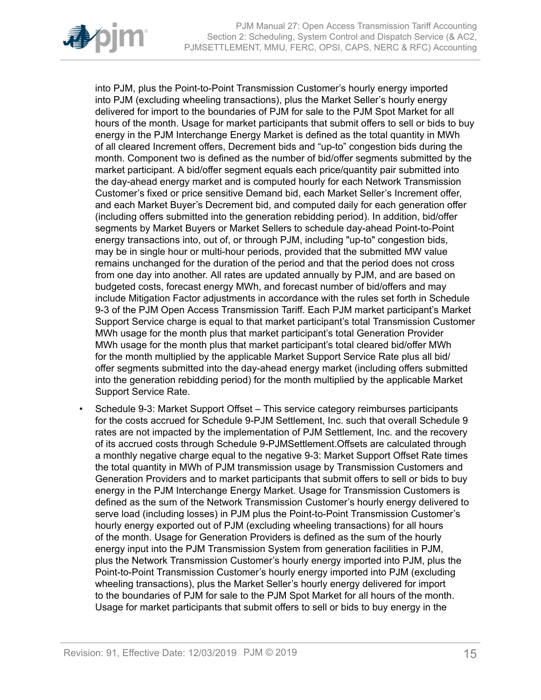

into PJM, plus the Point-to-Point Transmission Customer's hourly energy imported into PJM (excluding wheeling transactions), plus the Market Seller's hourly energy delivered for import to the boundaries of PJM for sale to the PJM Spot Market for all hours of the month. Usage for market participants that submit offers to sell or bids to buy energy in the PJM Interchange Energy Market is defined as the total quantity in MWh of all cleared Increment offers, Decrement bids and "up-to" congestion bids during the month. Component two is defined as the number of bid/offer segments submitted by the market participant. A bid/offer segment equals each price/quantity pair submitted into the day-ahead energy market and is computed hourly for each Network Transmission Customer's fixed or price sensitive Demand bid, each Market Seller's Increment offer, and each Market Buyer's Decrement bid, and computed daily for each generation offer (including offers submitted into the generation rebidding period). In addition, bid/offer segments by Market Buyers or Market Sellers to schedule day-ahead Point-to-Point energy transactions into, out of, or through PJM, including "up-to" congestion bids, may be in single hour or multi-hour periods, provided that the submitted MW value remains unchanged for the duration of the period and that the period does not cross from one day into another. All rates are updated annually by PJM, and are based on budgeted costs, forecast energy MWh, and forecast number of bid/offers and may include Mitigation Factor adjustments in accordance with the rules set forth in Schedule 9-3 of the PJM Open Access Transmission Tariff. Each PJM market participant's Market Support Service charge is equal to that market participant's total Transmission Customer MWh usage for the month plus that market participant's total Generation Provider MWh usage for the month plus that market participant's total cleared bid/offer MWh for the month multiplied by the applicable Market Support Service Rate plus all bid/ offer segments submitted into the day-ahead energy market (including offers submitted into the generation rebidding period) for the month multiplied by the applicable Market Support Service Rate.

• Schedule 9-3: Market Support Offset *–* This service category reimburses participants for the costs accrued for Schedule 9-PJM Settlement, Inc. such that overall Schedule 9 rates are not impacted by the implementation of PJM Settlement, Inc. and the recovery of its accrued costs through Schedule 9-PJMSettlement.Offsets are calculated through a monthly negative charge equal to the negative 9-3: Market Support Offset Rate times the total quantity in MWh of PJM transmission usage by Transmission Customers and Generation Providers and to market participants that submit offers to sell or bids to buy energy in the PJM Interchange Energy Market. Usage for Transmission Customers is defined as the sum of the Network Transmission Customer's hourly energy delivered to serve load (including losses) in PJM plus the Point-to-Point Transmission Customer's hourly energy exported out of PJM (excluding wheeling transactions) for all hours of the month. Usage for Generation Providers is defined as the sum of the hourly energy input into the PJM Transmission System from generation facilities in PJM, plus the Network Transmission Customer's hourly energy imported into PJM, plus the Point-to-Point Transmission Customer's hourly energy imported into PJM (excluding wheeling transactions), plus the Market Seller's hourly energy delivered for import to the boundaries of PJM for sale to the PJM Spot Market for all hours of the month. Usage for market participants that submit offers to sell or bids to buy energy in the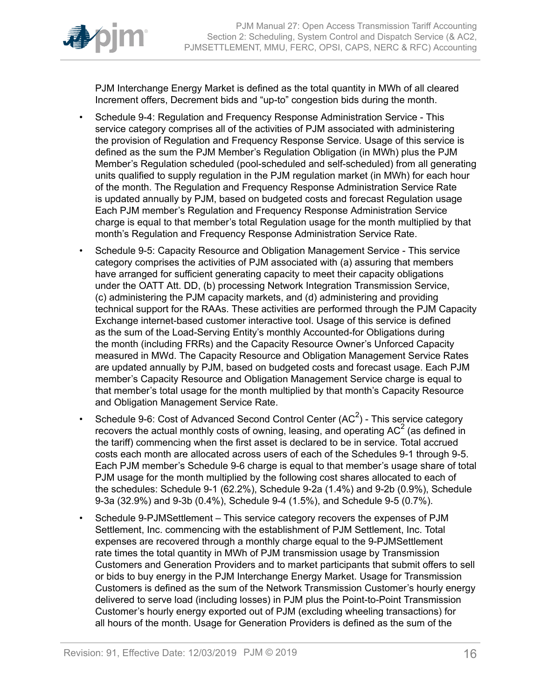

PJM Interchange Energy Market is defined as the total quantity in MWh of all cleared Increment offers, Decrement bids and "up-to" congestion bids during the month.

- Schedule 9-4: Regulation and Frequency Response Administration Service This service category comprises all of the activities of PJM associated with administering the provision of Regulation and Frequency Response Service. Usage of this service is defined as the sum the PJM Member's Regulation Obligation (in MWh) plus the PJM Member's Regulation scheduled (pool-scheduled and self-scheduled) from all generating units qualified to supply regulation in the PJM regulation market (in MWh) for each hour of the month. The Regulation and Frequency Response Administration Service Rate is updated annually by PJM, based on budgeted costs and forecast Regulation usage Each PJM member's Regulation and Frequency Response Administration Service charge is equal to that member's total Regulation usage for the month multiplied by that month's Regulation and Frequency Response Administration Service Rate.
- Schedule 9-5: Capacity Resource and Obligation Management Service This service category comprises the activities of PJM associated with (a) assuring that members have arranged for sufficient generating capacity to meet their capacity obligations under the OATT Att. DD, (b) processing Network Integration Transmission Service, (c) administering the PJM capacity markets, and (d) administering and providing technical support for the RAAs. These activities are performed through the PJM Capacity Exchange internet-based customer interactive tool. Usage of this service is defined as the sum of the Load-Serving Entity's monthly Accounted-for Obligations during the month (including FRRs) and the Capacity Resource Owner's Unforced Capacity measured in MWd. The Capacity Resource and Obligation Management Service Rates are updated annually by PJM, based on budgeted costs and forecast usage. Each PJM member's Capacity Resource and Obligation Management Service charge is equal to that member's total usage for the month multiplied by that month's Capacity Resource and Obligation Management Service Rate.
- Schedule 9-6: Cost of Advanced Second Control Center (AC<sup>2</sup>) This service category recovers the actual monthly costs of owning, leasing, and operating AC<sup>2</sup> (as defined in the tariff) commencing when the first asset is declared to be in service. Total accrued costs each month are allocated across users of each of the Schedules 9-1 through 9-5. Each PJM member's Schedule 9-6 charge is equal to that member's usage share of total PJM usage for the month multiplied by the following cost shares allocated to each of the schedules: Schedule 9-1 (62.2%), Schedule 9-2a (1.4%) and 9-2b (0.9%), Schedule 9-3a (32.9%) and 9-3b (0.4%), Schedule 9-4 (1.5%), and Schedule 9-5 (0.7%).
- Schedule 9-PJMSettlementThis service category recovers the expenses of PJM Settlement, Inc. commencing with the establishment of PJM Settlement, Inc. Total expenses are recovered through a monthly charge equal to the 9-PJMSettlement rate times the total quantity in MWh of PJM transmission usage by Transmission Customers and Generation Providers and to market participants that submit offers to sell or bids to buy energy in the PJM Interchange Energy Market. Usage for Transmission Customers is defined as the sum of the Network Transmission Customer's hourly energy delivered to serve load (including losses) in PJM plus the Point-to-Point Transmission Customer's hourly energy exported out of PJM (excluding wheeling transactions) for all hours of the month. Usage for Generation Providers is defined as the sum of the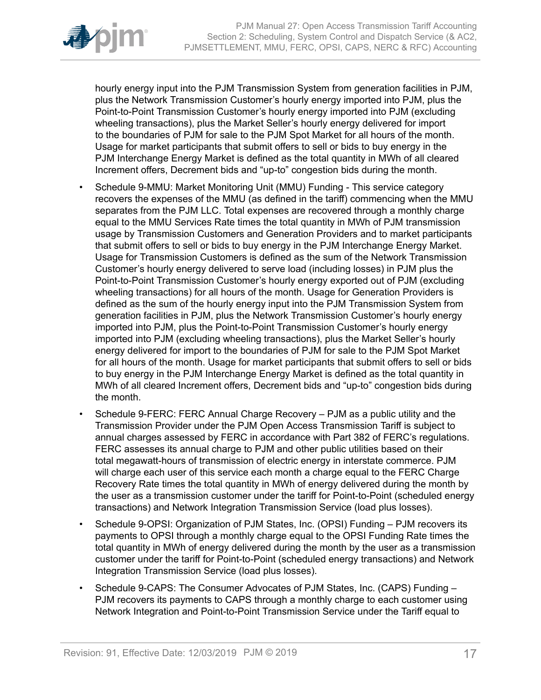

hourly energy input into the PJM Transmission System from generation facilities in PJM, plus the Network Transmission Customer's hourly energy imported into PJM, plus the Point-to-Point Transmission Customer's hourly energy imported into PJM (excluding wheeling transactions), plus the Market Seller's hourly energy delivered for import to the boundaries of PJM for sale to the PJM Spot Market for all hours of the month. Usage for market participants that submit offers to sell or bids to buy energy in the PJM Interchange Energy Market is defined as the total quantity in MWh of all cleared Increment offers, Decrement bids and "up-to" congestion bids during the month.

- Schedule 9-MMU: Market Monitoring Unit (MMU) Funding This service category recovers the expenses of the MMU (as defined in the tariff) commencing when the MMU separates from the PJM LLC. Total expenses are recovered through a monthly charge equal to the MMU Services Rate times the total quantity in MWh of PJM transmission usage by Transmission Customers and Generation Providers and to market participants that submit offers to sell or bids to buy energy in the PJM Interchange Energy Market. Usage for Transmission Customers is defined as the sum of the Network Transmission Customer's hourly energy delivered to serve load (including losses) in PJM plus the Point-to-Point Transmission Customer's hourly energy exported out of PJM (excluding wheeling transactions) for all hours of the month. Usage for Generation Providers is defined as the sum of the hourly energy input into the PJM Transmission System from generation facilities in PJM, plus the Network Transmission Customer's hourly energy imported into PJM, plus the Point-to-Point Transmission Customer's hourly energy imported into PJM (excluding wheeling transactions), plus the Market Seller's hourly energy delivered for import to the boundaries of PJM for sale to the PJM Spot Market for all hours of the month. Usage for market participants that submit offers to sell or bids to buy energy in the PJM Interchange Energy Market is defined as the total quantity in MWh of all cleared Increment offers, Decrement bids and "up-to" congestion bids during the month.
- Schedule 9-FERC: FERC Annual Charge Recovery PJM as a public utility and the Transmission Provider under the PJM Open Access Transmission Tariff is subject to annual charges assessed by FERC in accordance with Part 382 of FERC's regulations. FERC assesses its annual charge to PJM and other public utilities based on their total megawatt-hours of transmission of electric energy in interstate commerce. PJM will charge each user of this service each month a charge equal to the FERC Charge Recovery Rate times the total quantity in MWh of energy delivered during the month by the user as a transmission customer under the tariff for Point-to-Point (scheduled energy transactions) and Network Integration Transmission Service (load plus losses).
- Schedule 9-OPSI: Organization of PJM States, Inc. (OPSI) Funding PJM recovers its payments to OPSI through a monthly charge equal to the OPSI Funding Rate times the total quantity in MWh of energy delivered during the month by the user as a transmission customer under the tariff for Point-to-Point (scheduled energy transactions) and Network Integration Transmission Service (load plus losses).
- Schedule 9-CAPS: The Consumer Advocates of PJM States, Inc. (CAPS) Funding PJM recovers its payments to CAPS through a monthly charge to each customer using Network Integration and Point-to-Point Transmission Service under the Tariff equal to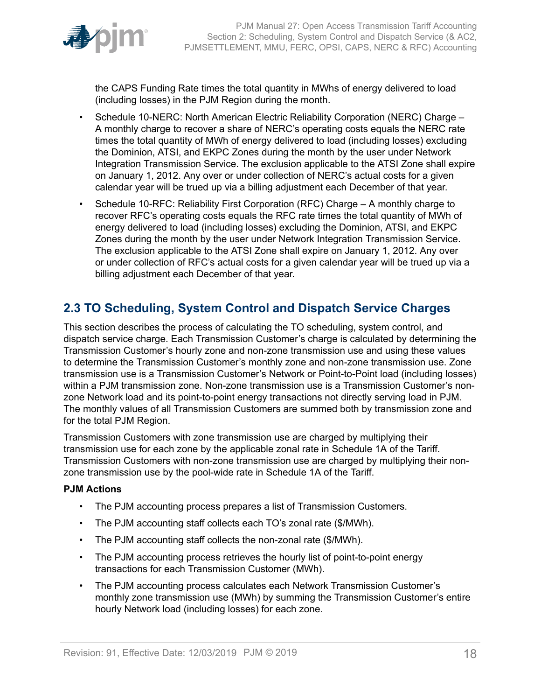

the CAPS Funding Rate times the total quantity in MWhs of energy delivered to load (including losses) in the PJM Region during the month.

- Schedule 10-NERC: North American Electric Reliability Corporation (NERC) Charge A monthly charge to recover a share of NERC's operating costs equals the NERC rate times the total quantity of MWh of energy delivered to load (including losses) excluding the Dominion, ATSI, and EKPC Zones during the month by the user under Network Integration Transmission Service. The exclusion applicable to the ATSI Zone shall expire on January 1, 2012. Any over or under collection of NERC's actual costs for a given calendar year will be trued up via a billing adjustment each December of that year.
- Schedule 10-RFC: Reliability First Corporation (RFC) Charge A monthly charge to recover RFC's operating costs equals the RFC rate times the total quantity of MWh of energy delivered to load (including losses) excluding the Dominion, ATSI, and EKPC Zones during the month by the user under Network Integration Transmission Service. The exclusion applicable to the ATSI Zone shall expire on January 1, 2012. Any over or under collection of RFC's actual costs for a given calendar year will be trued up via a billing adjustment each December of that year.

### <span id="page-17-0"></span>**2.3 TO Scheduling, System Control and Dispatch Service Charges**

This section describes the process of calculating the TO scheduling, system control, and dispatch service charge. Each Transmission Customer's charge is calculated by determining the Transmission Customer's hourly zone and non-zone transmission use and using these values to determine the Transmission Customer's monthly zone and non-zone transmission use. Zone transmission use is a Transmission Customer's Network or Point-to-Point load (including losses) within a PJM transmission zone. Non-zone transmission use is a Transmission Customer's nonzone Network load and its point-to-point energy transactions not directly serving load in PJM. The monthly values of all Transmission Customers are summed both by transmission zone and for the total PJM Region.

Transmission Customers with zone transmission use are charged by multiplying their transmission use for each zone by the applicable zonal rate in Schedule 1A of the Tariff. Transmission Customers with non-zone transmission use are charged by multiplying their nonzone transmission use by the pool-wide rate in Schedule 1A of the Tariff.

#### **PJM Actions**

- The PJM accounting process prepares a list of Transmission Customers.
- The PJM accounting staff collects each TO's zonal rate (\$/MWh).
- The PJM accounting staff collects the non-zonal rate (\$/MWh).
- The PJM accounting process retrieves the hourly list of point-to-point energy transactions for each Transmission Customer (MWh).
- The PJM accounting process calculates each Network Transmission Customer's monthly zone transmission use (MWh) by summing the Transmission Customer's entire hourly Network load (including losses) for each zone.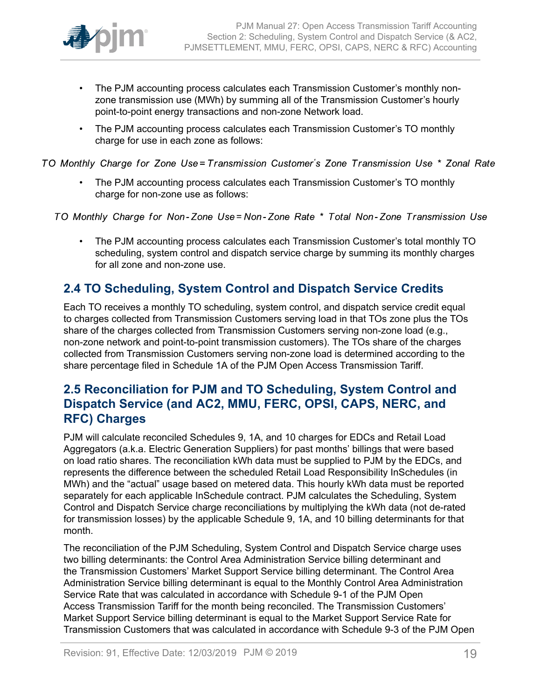

- The PJM accounting process calculates each Transmission Customer's monthly nonzone transmission use (MWh) by summing all of the Transmission Customer's hourly point-to-point energy transactions and non-zone Network load.
- The PJM accounting process calculates each Transmission Customer's TO monthly charge for use in each zone as follows:

TO Monthly Charge for Zone Use=Transmission Customer's Zone Transmission Use \* Zonal Rate

• The PJM accounting process calculates each Transmission Customer's TO monthly charge for non-zone use as follows:

TO Monthly Charge for Non-Zone Use=Non-Zone Rate \* Total Non-Zone Transmission Use

• The PJM accounting process calculates each Transmission Customer's total monthly TO scheduling, system control and dispatch service charge by summing its monthly charges for all zone and non-zone use.

### <span id="page-18-0"></span>**2.4 TO Scheduling, System Control and Dispatch Service Credits**

Each TO receives a monthly TO scheduling, system control, and dispatch service credit equal to charges collected from Transmission Customers serving load in that TOs zone plus the TOs share of the charges collected from Transmission Customers serving non-zone load (e.g., non-zone network and point-to-point transmission customers). The TOs share of the charges collected from Transmission Customers serving non-zone load is determined according to the share percentage filed in Schedule 1A of the PJM Open Access Transmission Tariff.

### <span id="page-18-1"></span>**2.5 Reconciliation for PJM and TO Scheduling, System Control and Dispatch Service (and AC2, MMU, FERC, OPSI, CAPS, NERC, and RFC) Charges**

PJM will calculate reconciled Schedules 9, 1A, and 10 charges for EDCs and Retail Load Aggregators (a.k.a. Electric Generation Suppliers) for past months' billings that were based on load ratio shares. The reconciliation kWh data must be supplied to PJM by the EDCs, and represents the difference between the scheduled Retail Load Responsibility InSchedules (in MWh) and the "actual" usage based on metered data. This hourly kWh data must be reported separately for each applicable InSchedule contract. PJM calculates the Scheduling, System Control and Dispatch Service charge reconciliations by multiplying the kWh data (not de-rated for transmission losses) by the applicable Schedule 9, 1A, and 10 billing determinants for that month.

The reconciliation of the PJM Scheduling, System Control and Dispatch Service charge uses two billing determinants: the Control Area Administration Service billing determinant and the Transmission Customers' Market Support Service billing determinant. The Control Area Administration Service billing determinant is equal to the Monthly Control Area Administration Service Rate that was calculated in accordance with Schedule 9-1 of the PJM Open Access Transmission Tariff for the month being reconciled. The Transmission Customers' Market Support Service billing determinant is equal to the Market Support Service Rate for Transmission Customers that was calculated in accordance with Schedule 9-3 of the PJM Open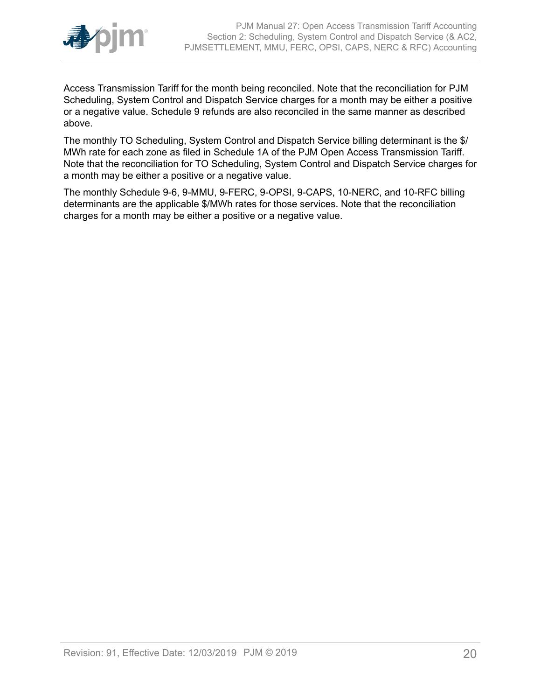

Access Transmission Tariff for the month being reconciled. Note that the reconciliation for PJM Scheduling, System Control and Dispatch Service charges for a month may be either a positive or a negative value. Schedule 9 refunds are also reconciled in the same manner as described above.

The monthly TO Scheduling, System Control and Dispatch Service billing determinant is the \$/ MWh rate for each zone as filed in Schedule 1A of the PJM Open Access Transmission Tariff. Note that the reconciliation for TO Scheduling, System Control and Dispatch Service charges for a month may be either a positive or a negative value.

The monthly Schedule 9-6, 9-MMU, 9-FERC, 9-OPSI, 9-CAPS, 10-NERC, and 10-RFC billing determinants are the applicable \$/MWh rates for those services. Note that the reconciliation charges for a month may be either a positive or a negative value.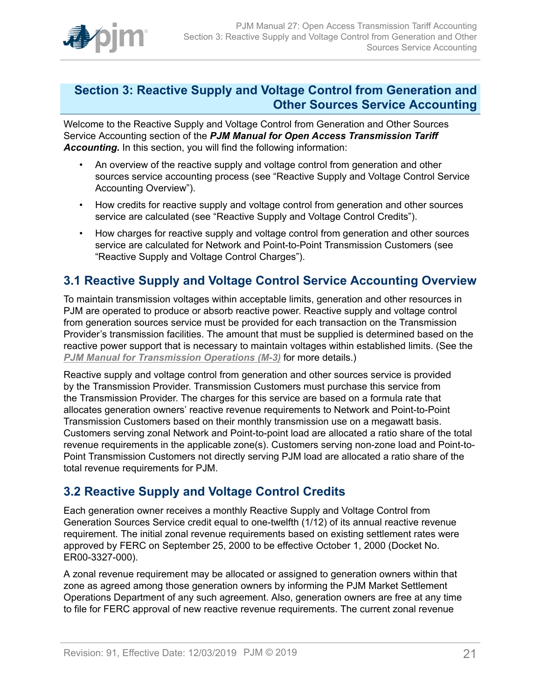

### <span id="page-20-0"></span>**Section 3: Reactive Supply and Voltage Control from Generation and Other Sources Service Accounting**

Welcome to the Reactive Supply and Voltage Control from Generation and Other Sources Service Accounting section of the *PJM Manual for Open Access Transmission Tariff Accounting.* In this section, you will find the following information:

- An overview of the reactive supply and voltage control from generation and other sources service accounting process (see "Reactive Supply and Voltage Control Service Accounting Overview").
- How credits for reactive supply and voltage control from generation and other sources service are calculated (see "Reactive Supply and Voltage Control Credits").
- How charges for reactive supply and voltage control from generation and other sources service are calculated for Network and Point-to-Point Transmission Customers (see "Reactive Supply and Voltage Control Charges").

### <span id="page-20-1"></span>**3.1 Reactive Supply and Voltage Control Service Accounting Overview**

To maintain transmission voltages within acceptable limits, generation and other resources in PJM are operated to produce or absorb reactive power. Reactive supply and voltage control from generation sources service must be provided for each transaction on the Transmission Provider's transmission facilities. The amount that must be supplied is determined based on the reactive power support that is necessary to maintain voltages within established limits. (See the *PJM Manual for [Transmission](http://www.pjm.com/~/media/documents/manuals/m03.ashx) Operations (M-3)* for more details.)

Reactive supply and voltage control from generation and other sources service is provided by the Transmission Provider. Transmission Customers must purchase this service from the Transmission Provider. The charges for this service are based on a formula rate that allocates generation owners' reactive revenue requirements to Network and Point-to-Point Transmission Customers based on their monthly transmission use on a megawatt basis. Customers serving zonal Network and Point-to-point load are allocated a ratio share of the total revenue requirements in the applicable zone(s). Customers serving non-zone load and Point-to-Point Transmission Customers not directly serving PJM load are allocated a ratio share of the total revenue requirements for PJM.

### <span id="page-20-2"></span>**3.2 Reactive Supply and Voltage Control Credits**

Each generation owner receives a monthly Reactive Supply and Voltage Control from Generation Sources Service credit equal to one-twelfth (1/12) of its annual reactive revenue requirement. The initial zonal revenue requirements based on existing settlement rates were approved by FERC on September 25, 2000 to be effective October 1, 2000 (Docket No. ER00-3327-000).

A zonal revenue requirement may be allocated or assigned to generation owners within that zone as agreed among those generation owners by informing the PJM Market Settlement Operations Department of any such agreement. Also, generation owners are free at any time to file for FERC approval of new reactive revenue requirements. The current zonal revenue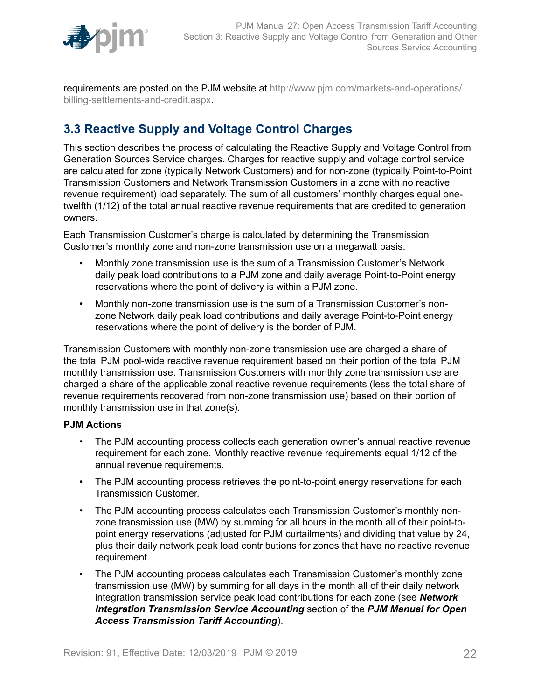

requirements are posted on the PJM website at [http://www.pjm.com/markets-and-operations/](http://www.pjm.com/markets-and-operations/billing-settlements-and-credit.aspx) [billing-settlements-and-credit.aspx.](http://www.pjm.com/markets-and-operations/billing-settlements-and-credit.aspx)

### <span id="page-21-0"></span>**3.3 Reactive Supply and Voltage Control Charges**

This section describes the process of calculating the Reactive Supply and Voltage Control from Generation Sources Service charges. Charges for reactive supply and voltage control service are calculated for zone (typically Network Customers) and for non-zone (typically Point-to-Point Transmission Customers and Network Transmission Customers in a zone with no reactive revenue requirement) load separately. The sum of all customers' monthly charges equal onetwelfth (1/12) of the total annual reactive revenue requirements that are credited to generation owners.

Each Transmission Customer's charge is calculated by determining the Transmission Customer's monthly zone and non-zone transmission use on a megawatt basis.

- Monthly zone transmission use is the sum of a Transmission Customer's Network daily peak load contributions to a PJM zone and daily average Point-to-Point energy reservations where the point of delivery is within a PJM zone.
- Monthly non-zone transmission use is the sum of a Transmission Customer's nonzone Network daily peak load contributions and daily average Point-to-Point energy reservations where the point of delivery is the border of PJM.

Transmission Customers with monthly non-zone transmission use are charged a share of the total PJM pool-wide reactive revenue requirement based on their portion of the total PJM monthly transmission use. Transmission Customers with monthly zone transmission use are charged a share of the applicable zonal reactive revenue requirements (less the total share of revenue requirements recovered from non-zone transmission use) based on their portion of monthly transmission use in that zone(s).

#### **PJM Actions**

- The PJM accounting process collects each generation owner's annual reactive revenue requirement for each zone. Monthly reactive revenue requirements equal 1/12 of the annual revenue requirements.
- The PJM accounting process retrieves the point-to-point energy reservations for each Transmission Customer.
- The PJM accounting process calculates each Transmission Customer's monthly nonzone transmission use (MW) by summing for all hours in the month all of their point-topoint energy reservations (adjusted for PJM curtailments) and dividing that value by 24, plus their daily network peak load contributions for zones that have no reactive revenue requirement.
- The PJM accounting process calculates each Transmission Customer's monthly zone transmission use (MW) by summing for all days in the month all of their daily network integration transmission service peak load contributions for each zone (see *Network Integration Transmission Service Accounting* section of the *PJM Manual for Open Access Transmission Tariff Accounting*).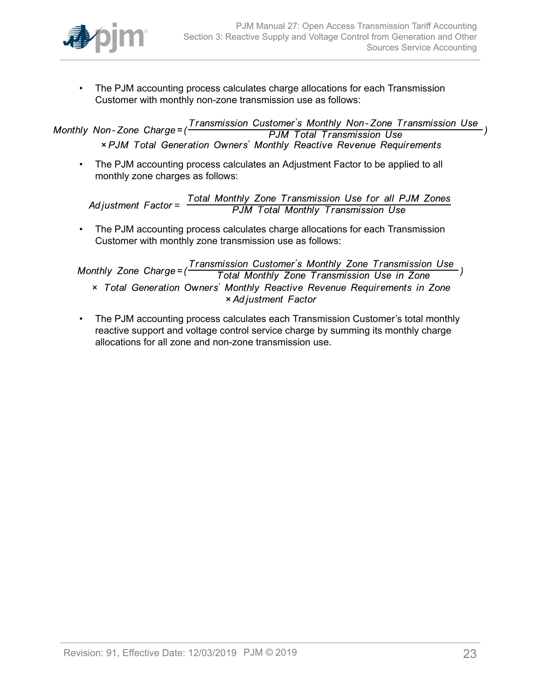

• The PJM accounting process calculates charge allocations for each Transmission Customer with monthly non-zone transmission use as follows:

Transmission Customer's Monthly Non-Zone Transmission Use Monthly Non-Zone Charge=( **PJM Total Transmission Use** × PJM Total Generation Owners' Monthly Reactive Revenue Requirements

• The PJM accounting process calculates an Adjustment Factor to be applied to all monthly zone charges as follows:

Total Monthly Zone Transmission Use for all PJM Zones<br>PJM Total Monthly Transmission Use Adjustment  $Factor =$ 

• The PJM accounting process calculates charge allocations for each Transmission Customer with monthly zone transmission use as follows:

Transmission Customer's Monthly Zone Transmission Use Monthly Zone Charge= $($ Total Monthly Zone Transmission Use in Zone x Total Generation Owners' Monthly Reactive Revenue Requirements in Zone × Adjustment Factor

• The PJM accounting process calculates each Transmission Customer's total monthly reactive support and voltage control service charge by summing its monthly charge allocations for all zone and non-zone transmission use.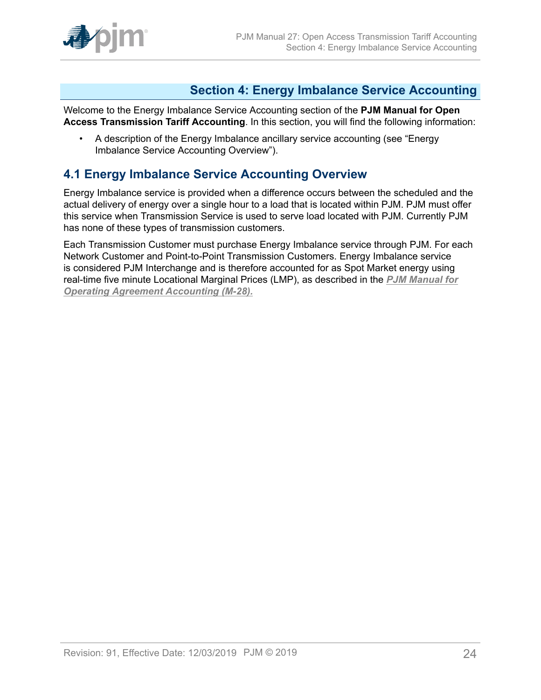

### <span id="page-23-0"></span>**Section 4: Energy Imbalance Service Accounting**

Welcome to the Energy Imbalance Service Accounting section of the **PJM Manual for Open Access Transmission Tariff Accounting**. In this section, you will find the following information:

• A description of the Energy Imbalance ancillary service accounting (see "Energy Imbalance Service Accounting Overview").

### <span id="page-23-1"></span>**4.1 Energy Imbalance Service Accounting Overview**

Energy Imbalance service is provided when a difference occurs between the scheduled and the actual delivery of energy over a single hour to a load that is located within PJM. PJM must offer this service when Transmission Service is used to serve load located with PJM. Currently PJM has none of these types of transmission customers.

Each Transmission Customer must purchase Energy Imbalance service through PJM. For each Network Customer and Point-to-Point Transmission Customers. Energy Imbalance service is considered PJM Interchange and is therefore accounted for as Spot Market energy using real-time five minute Locational Marginal Prices (LMP), as described in the *[PJM Manual for](http://www.pjm.com/~/media/documents/manuals/m28.ashx) [Operating Agreement Accounting \(M-28\).](http://www.pjm.com/~/media/documents/manuals/m28.ashx)*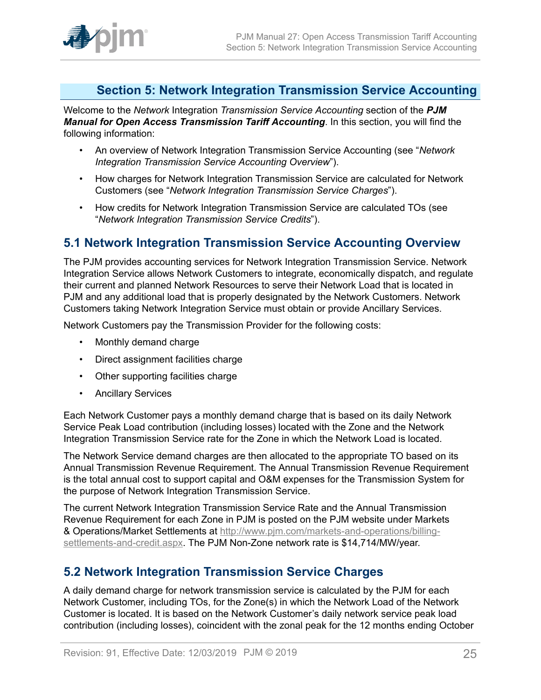

### <span id="page-24-0"></span>**Section 5: Network Integration Transmission Service Accounting**

Welcome to the *Network* Integration *Transmission Service Accounting* section of the *PJM Manual for Open Access Transmission Tariff Accounting*. In this section, you will find the following information:

- An overview of Network Integration Transmission Service Accounting (see "*Network Integration Transmission Service Accounting Overview*").
- How charges for Network Integration Transmission Service are calculated for Network Customers (see "*Network Integration Transmission Service Charges*").
- How credits for Network Integration Transmission Service are calculated TOs (see "*Network Integration Transmission Service Credits*").

### <span id="page-24-1"></span>**5.1 Network Integration Transmission Service Accounting Overview**

The PJM provides accounting services for Network Integration Transmission Service. Network Integration Service allows Network Customers to integrate, economically dispatch, and regulate their current and planned Network Resources to serve their Network Load that is located in PJM and any additional load that is properly designated by the Network Customers. Network Customers taking Network Integration Service must obtain or provide Ancillary Services.

Network Customers pay the Transmission Provider for the following costs:

- Monthly demand charge
- Direct assignment facilities charge
- Other supporting facilities charge
- Ancillary Services

Each Network Customer pays a monthly demand charge that is based on its daily Network Service Peak Load contribution (including losses) located with the Zone and the Network Integration Transmission Service rate for the Zone in which the Network Load is located.

The Network Service demand charges are then allocated to the appropriate TO based on its Annual Transmission Revenue Requirement. The Annual Transmission Revenue Requirement is the total annual cost to support capital and O&M expenses for the Transmission System for the purpose of Network Integration Transmission Service.

The current Network Integration Transmission Service Rate and the Annual Transmission Revenue Requirement for each Zone in PJM is posted on the PJM website under Markets & Operations/Market Settlements at [http://www.pjm.com/markets-and-operations/billing](http://www.pjm.com/markets-and-operations/billing-settlements-and-credit.aspx)[settlements-and-credit.aspx](http://www.pjm.com/markets-and-operations/billing-settlements-and-credit.aspx). The PJM Non-Zone network rate is \$14,714/MW/year.

### <span id="page-24-2"></span>**5.2 Network Integration Transmission Service Charges**

A daily demand charge for network transmission service is calculated by the PJM for each Network Customer, including TOs, for the Zone(s) in which the Network Load of the Network Customer is located. It is based on the Network Customer's daily network service peak load contribution (including losses), coincident with the zonal peak for the 12 months ending October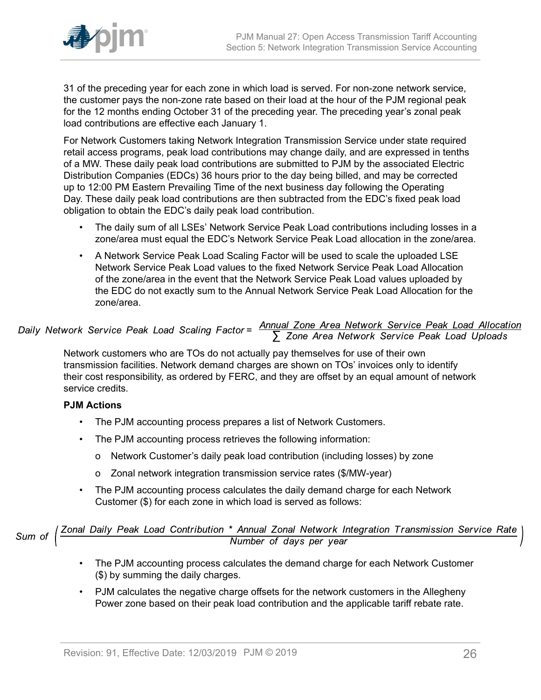

31 of the preceding year for each zone in which load is served. For non-zone network service, the customer pays the non-zone rate based on their load at the hour of the PJM regional peak for the 12 months ending October 31 of the preceding year. The preceding year's zonal peak load contributions are effective each January 1.

For Network Customers taking Network Integration Transmission Service under state required retail access programs, peak load contributions may change daily, and are expressed in tenths of a MW. These daily peak load contributions are submitted to PJM by the associated Electric Distribution Companies (EDCs) 36 hours prior to the day being billed, and may be corrected up to 12:00 PM Eastern Prevailing Time of the next business day following the Operating Day. These daily peak load contributions are then subtracted from the EDC's fixed peak load obligation to obtain the EDC's daily peak load contribution.

- The daily sum of all LSEs' Network Service Peak Load contributions including losses in a zone/area must equal the EDC's Network Service Peak Load allocation in the zone/area.
- A Network Service Peak Load Scaling Factor will be used to scale the uploaded LSE Network Service Peak Load values to the fixed Network Service Peak Load Allocation of the zone/area in the event that the Network Service Peak Load values uploaded by the EDC do not exactly sum to the Annual Network Service Peak Load Allocation for the zone/area.

# Daily Network Service Peak Load Scaling Factor =  $\frac{\text{Annual} \text{ zone Area Network Service Peak Load Allocation}}{\sum \text{ zone Area Network Service Peak Load Uploads}}$

Network customers who are TOs do not actually pay themselves for use of their own transmission facilities. Network demand charges are shown on TOs' invoices only to identify their cost responsibility, as ordered by FERC, and they are offset by an equal amount of network service credits.

#### **PJM Actions**

- The PJM accounting process prepares a list of Network Customers.
- The PJM accounting process retrieves the following information:
	- o Network Customer's daily peak load contribution (including losses) by zone
	- o Zonal network integration transmission service rates (\$/MW-year)
- The PJM accounting process calculates the daily demand charge for each Network Customer (\$) for each zone in which load is served as follows:

Sum of  $\left(\frac{Zonal\ Daily\ Peak\ Load\ Continution\ *\ Annual\ Zonal\ Network\ Integration\ Transmission\ Service\ Rate}{Number\ of\ days\ per\ year}$ 

- The PJM accounting process calculates the demand charge for each Network Customer (\$) by summing the daily charges.
- PJM calculates the negative charge offsets for the network customers in the Allegheny Power zone based on their peak load contribution and the applicable tariff rebate rate.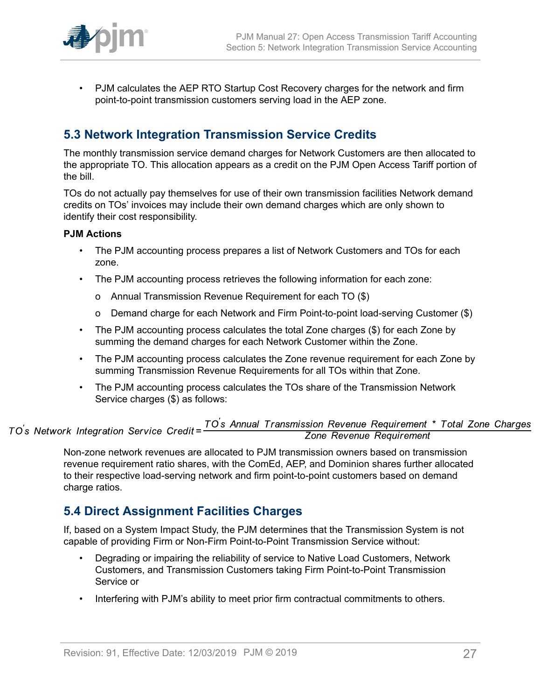

• PJM calculates the AEP RTO Startup Cost Recovery charges for the network and firm point-to-point transmission customers serving load in the AEP zone.

### <span id="page-26-0"></span>**5.3 Network Integration Transmission Service Credits**

The monthly transmission service demand charges for Network Customers are then allocated to the appropriate TO. This allocation appears as a credit on the PJM Open Access Tariff portion of the bill.

TOs do not actually pay themselves for use of their own transmission facilities Network demand credits on TOs' invoices may include their own demand charges which are only shown to identify their cost responsibility.

#### **PJM Actions**

- The PJM accounting process prepares a list of Network Customers and TOs for each zone.
- The PJM accounting process retrieves the following information for each zone:
	- o Annual Transmission Revenue Requirement for each TO (\$)
	- o Demand charge for each Network and Firm Point-to-point load-serving Customer (\$)
- The PJM accounting process calculates the total Zone charges (\$) for each Zone by summing the demand charges for each Network Customer within the Zone.
- The PJM accounting process calculates the Zone revenue requirement for each Zone by summing Transmission Revenue Requirements for all TOs within that Zone.
- The PJM accounting process calculates the TOs share of the Transmission Network Service charges (\$) as follows:

#### TO's Annual Transmission Revenue Requirement \* Total Zone Charges<br>Zone Revenue Requirement TO's Network Integration Service Credit=

Non-zone network revenues are allocated to PJM transmission owners based on transmission revenue requirement ratio shares, with the ComEd, AEP, and Dominion shares further allocated to their respective load-serving network and firm point-to-point customers based on demand charge ratios.

### <span id="page-26-1"></span>**5.4 Direct Assignment Facilities Charges**

If, based on a System Impact Study, the PJM determines that the Transmission System is not capable of providing Firm or Non-Firm Point-to-Point Transmission Service without:

- Degrading or impairing the reliability of service to Native Load Customers, Network Customers, and Transmission Customers taking Firm Point-to-Point Transmission Service or
- Interfering with PJM's ability to meet prior firm contractual commitments to others.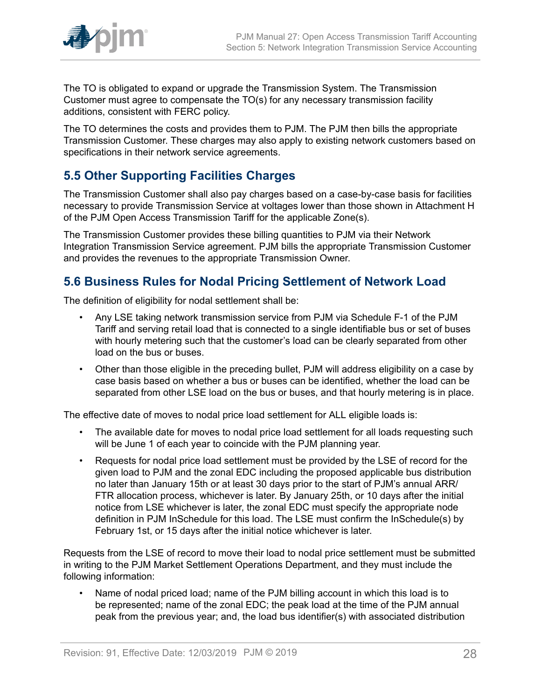

The TO is obligated to expand or upgrade the Transmission System. The Transmission Customer must agree to compensate the TO(s) for any necessary transmission facility additions, consistent with FERC policy.

The TO determines the costs and provides them to PJM. The PJM then bills the appropriate Transmission Customer. These charges may also apply to existing network customers based on specifications in their network service agreements.

### <span id="page-27-0"></span>**5.5 Other Supporting Facilities Charges**

The Transmission Customer shall also pay charges based on a case-by-case basis for facilities necessary to provide Transmission Service at voltages lower than those shown in Attachment H of the PJM Open Access Transmission Tariff for the applicable Zone(s).

The Transmission Customer provides these billing quantities to PJM via their Network Integration Transmission Service agreement. PJM bills the appropriate Transmission Customer and provides the revenues to the appropriate Transmission Owner.

### <span id="page-27-1"></span>**5.6 Business Rules for Nodal Pricing Settlement of Network Load**

The definition of eligibility for nodal settlement shall be:

- Any LSE taking network transmission service from PJM via Schedule F-1 of the PJM Tariff and serving retail load that is connected to a single identifiable bus or set of buses with hourly metering such that the customer's load can be clearly separated from other load on the bus or buses.
- Other than those eligible in the preceding bullet, PJM will address eligibility on a case by case basis based on whether a bus or buses can be identified, whether the load can be separated from other LSE load on the bus or buses, and that hourly metering is in place.

The effective date of moves to nodal price load settlement for ALL eligible loads is:

- The available date for moves to nodal price load settlement for all loads requesting such will be June 1 of each year to coincide with the PJM planning year.
- Requests for nodal price load settlement must be provided by the LSE of record for the given load to PJM and the zonal EDC including the proposed applicable bus distribution no later than January 15th or at least 30 days prior to the start of PJM's annual ARR/ FTR allocation process, whichever is later. By January 25th, or 10 days after the initial notice from LSE whichever is later, the zonal EDC must specify the appropriate node definition in PJM InSchedule for this load. The LSE must confirm the InSchedule(s) by February 1st, or 15 days after the initial notice whichever is later.

Requests from the LSE of record to move their load to nodal price settlement must be submitted in writing to the PJM Market Settlement Operations Department, and they must include the following information:

• Name of nodal priced load; name of the PJM billing account in which this load is to be represented; name of the zonal EDC; the peak load at the time of the PJM annual peak from the previous year; and, the load bus identifier(s) with associated distribution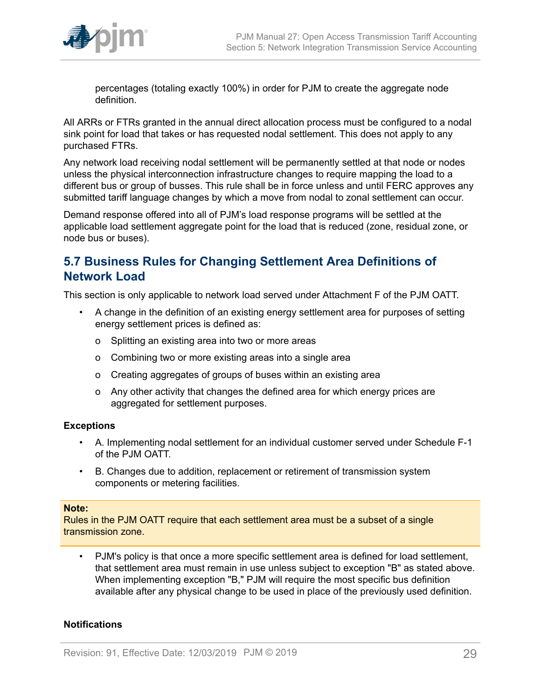

percentages (totaling exactly 100%) in order for PJM to create the aggregate node definition.

All ARRs or FTRs granted in the annual direct allocation process must be configured to a nodal sink point for load that takes or has requested nodal settlement. This does not apply to any purchased FTRs.

Any network load receiving nodal settlement will be permanently settled at that node or nodes unless the physical interconnection infrastructure changes to require mapping the load to a different bus or group of busses. This rule shall be in force unless and until FERC approves any submitted tariff language changes by which a move from nodal to zonal settlement can occur.

Demand response offered into all of PJM's load response programs will be settled at the applicable load settlement aggregate point for the load that is reduced (zone, residual zone, or node bus or buses).

### <span id="page-28-0"></span>**5.7 Business Rules for Changing Settlement Area Definitions of Network Load**

This section is only applicable to network load served under Attachment F of the PJM OATT.

- A change in the definition of an existing energy settlement area for purposes of setting energy settlement prices is defined as:
	- o Splitting an existing area into two or more areas
	- o Combining two or more existing areas into a single area
	- o Creating aggregates of groups of buses within an existing area
	- o Any other activity that changes the defined area for which energy prices are aggregated for settlement purposes.

#### **Exceptions**

- A. Implementing nodal settlement for an individual customer served under Schedule F-1 of the PJM OATT.
- B. Changes due to addition, replacement or retirement of transmission system components or metering facilities.

#### **Note:**

Rules in the PJM OATT require that each settlement area must be a subset of a single transmission zone.

• PJM's policy is that once a more specific settlement area is defined for load settlement, that settlement area must remain in use unless subject to exception "B" as stated above. When implementing exception "B," PJM will require the most specific bus definition available after any physical change to be used in place of the previously used definition.

#### **Notifications**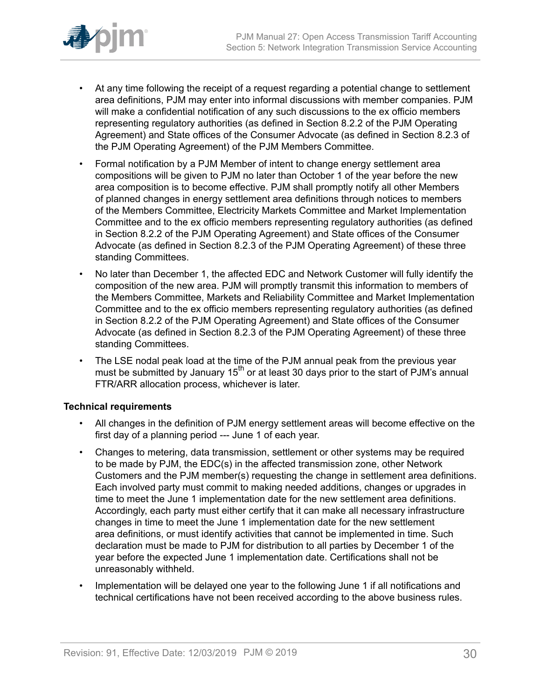

- At any time following the receipt of a request regarding a potential change to settlement area definitions, PJM may enter into informal discussions with member companies. PJM will make a confidential notification of any such discussions to the ex officio members representing regulatory authorities (as defined in Section 8.2.2 of the PJM Operating Agreement) and State offices of the Consumer Advocate (as defined in Section 8.2.3 of the PJM Operating Agreement) of the PJM Members Committee.
- Formal notification by a PJM Member of intent to change energy settlement area compositions will be given to PJM no later than October 1 of the year before the new area composition is to become effective. PJM shall promptly notify all other Members of planned changes in energy settlement area definitions through notices to members of the Members Committee, Electricity Markets Committee and Market Implementation Committee and to the ex officio members representing regulatory authorities (as defined in Section 8.2.2 of the PJM Operating Agreement) and State offices of the Consumer Advocate (as defined in Section 8.2.3 of the PJM Operating Agreement) of these three standing Committees.
- No later than December 1, the affected EDC and Network Customer will fully identify the composition of the new area. PJM will promptly transmit this information to members of the Members Committee, Markets and Reliability Committee and Market Implementation Committee and to the ex officio members representing regulatory authorities (as defined in Section 8.2.2 of the PJM Operating Agreement) and State offices of the Consumer Advocate (as defined in Section 8.2.3 of the PJM Operating Agreement) of these three standing Committees.
- The LSE nodal peak load at the time of the PJM annual peak from the previous year must be submitted by January  $15<sup>th</sup>$  or at least 30 days prior to the start of PJM's annual FTR/ARR allocation process, whichever is later.

#### **Technical requirements**

- All changes in the definition of PJM energy settlement areas will become effective on the first day of a planning period --- June 1 of each year.
- Changes to metering, data transmission, settlement or other systems may be required to be made by PJM, the EDC(s) in the affected transmission zone, other Network Customers and the PJM member(s) requesting the change in settlement area definitions. Each involved party must commit to making needed additions, changes or upgrades in time to meet the June 1 implementation date for the new settlement area definitions. Accordingly, each party must either certify that it can make all necessary infrastructure changes in time to meet the June 1 implementation date for the new settlement area definitions, or must identify activities that cannot be implemented in time. Such declaration must be made to PJM for distribution to all parties by December 1 of the year before the expected June 1 implementation date. Certifications shall not be unreasonably withheld.
- Implementation will be delayed one year to the following June 1 if all notifications and technical certifications have not been received according to the above business rules.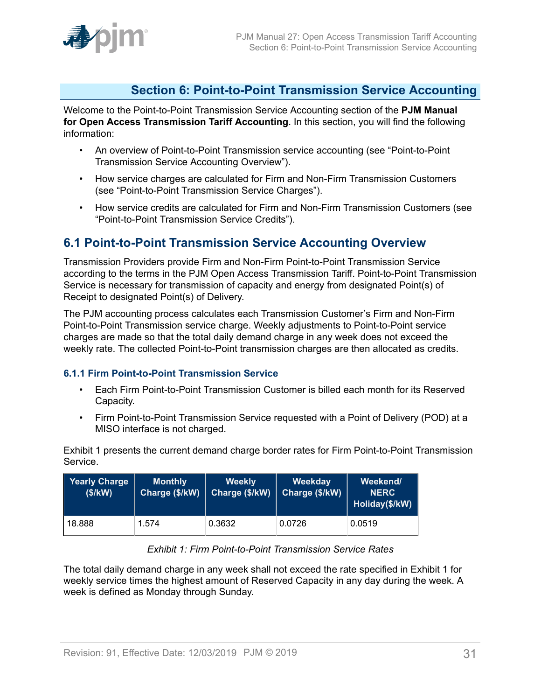### <span id="page-30-0"></span>**Section 6: Point-to-Point Transmission Service Accounting**

Welcome to the Point-to-Point Transmission Service Accounting section of the **PJM Manual for Open Access Transmission Tariff Accounting**. In this section, you will find the following information:

- An overview of Point-to-Point Transmission service accounting (see "Point-to-Point Transmission Service Accounting Overview").
- How service charges are calculated for Firm and Non-Firm Transmission Customers (see "Point-to-Point Transmission Service Charges").
- How service credits are calculated for Firm and Non-Firm Transmission Customers (see "Point-to-Point Transmission Service Credits").

### <span id="page-30-1"></span>**6.1 Point-to-Point Transmission Service Accounting Overview**

Transmission Providers provide Firm and Non-Firm Point-to-Point Transmission Service according to the terms in the PJM Open Access Transmission Tariff. Point-to-Point Transmission Service is necessary for transmission of capacity and energy from designated Point(s) of Receipt to designated Point(s) of Delivery.

The PJM accounting process calculates each Transmission Customer's Firm and Non-Firm Point-to-Point Transmission service charge. Weekly adjustments to Point-to-Point service charges are made so that the total daily demand charge in any week does not exceed the weekly rate. The collected Point-to-Point transmission charges are then allocated as credits.

#### <span id="page-30-2"></span>**6.1.1 Firm Point-to-Point Transmission Service**

- Each Firm Point-to-Point Transmission Customer is billed each month for its Reserved Capacity.
- Firm Point-to-Point Transmission Service requested with a Point of Delivery (POD) at a MISO interface is not charged.

Exhibit 1 presents the current demand charge border rates for Firm Point-to-Point Transmission Service.

<span id="page-30-3"></span>

| <b>Yearly Charge</b><br>(\$/KN) | <b>Monthly</b><br>Charge (\$/kW) | <b>Weekly</b><br>Charge (\$/kW) | Weekday<br>Charge (\$/kW) | Weekend/<br><b>NERC</b><br>Holiday(\$/kW) |
|---------------------------------|----------------------------------|---------------------------------|---------------------------|-------------------------------------------|
| 18.888                          | 1.574                            | 0.3632                          | 0.0726                    | 0.0519                                    |

#### *Exhibit 1: Firm Point-to-Point Transmission Service Rates*

The total daily demand charge in any week shall not exceed the rate specified in Exhibit 1 for weekly service times the highest amount of Reserved Capacity in any day during the week. A week is defined as Monday through Sunday.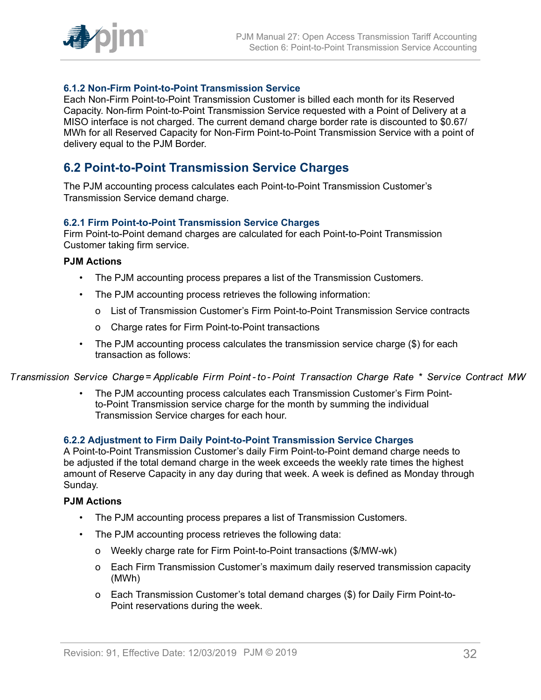

#### <span id="page-31-0"></span>**6.1.2 Non-Firm Point-to-Point Transmission Service**

Each Non-Firm Point-to-Point Transmission Customer is billed each month for its Reserved Capacity. Non-firm Point-to-Point Transmission Service requested with a Point of Delivery at a MISO interface is not charged. The current demand charge border rate is discounted to \$0.67/ MWh for all Reserved Capacity for Non-Firm Point-to-Point Transmission Service with a point of delivery equal to the PJM Border.

### <span id="page-31-1"></span>**6.2 Point-to-Point Transmission Service Charges**

The PJM accounting process calculates each Point-to-Point Transmission Customer's Transmission Service demand charge.

#### <span id="page-31-2"></span>**6.2.1 Firm Point-to-Point Transmission Service Charges**

Firm Point-to-Point demand charges are calculated for each Point-to-Point Transmission Customer taking firm service.

#### **PJM Actions**

- The PJM accounting process prepares a list of the Transmission Customers.
- The PJM accounting process retrieves the following information:
	- o List of Transmission Customer's Firm Point-to-Point Transmission Service contracts
	- o Charge rates for Firm Point-to-Point transactions
- The PJM accounting process calculates the transmission service charge (\$) for each transaction as follows:

Transmission Service Charge= Applicable Firm Point-to-Point Transaction Charge Rate \* Service Contract MW

• The PJM accounting process calculates each Transmission Customer's Firm Pointto-Point Transmission service charge for the month by summing the individual Transmission Service charges for each hour.

#### <span id="page-31-3"></span>**6.2.2 Adjustment to Firm Daily Point-to-Point Transmission Service Charges**

A Point-to-Point Transmission Customer's daily Firm Point-to-Point demand charge needs to be adjusted if the total demand charge in the week exceeds the weekly rate times the highest amount of Reserve Capacity in any day during that week. A week is defined as Monday through Sunday.

#### **PJM Actions**

- The PJM accounting process prepares a list of Transmission Customers.
- The PJM accounting process retrieves the following data:
	- o Weekly charge rate for Firm Point-to-Point transactions (\$/MW-wk)
	- o Each Firm Transmission Customer's maximum daily reserved transmission capacity (MWh)
	- o Each Transmission Customer's total demand charges (\$) for Daily Firm Point-to-Point reservations during the week.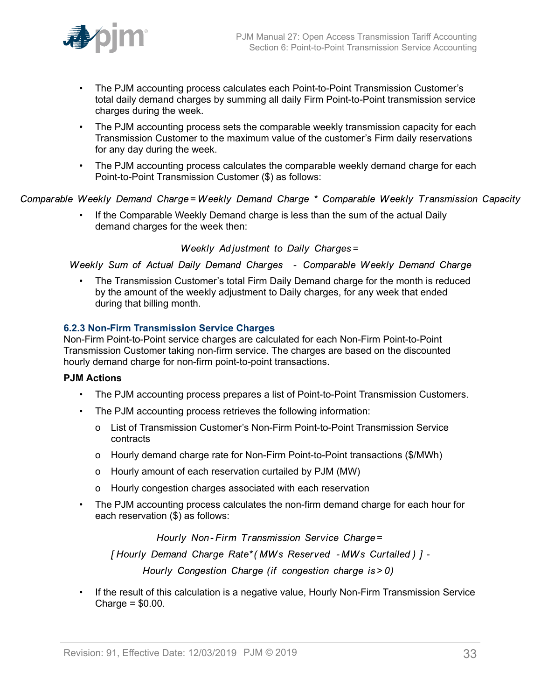

- The PJM accounting process calculates each Point-to-Point Transmission Customer's total daily demand charges by summing all daily Firm Point-to-Point transmission service charges during the week.
- The PJM accounting process sets the comparable weekly transmission capacity for each Transmission Customer to the maximum value of the customer's Firm daily reservations for any day during the week.
- The PJM accounting process calculates the comparable weekly demand charge for each Point-to-Point Transmission Customer (\$) as follows:

Comparable Weekly Demand Charge=Weekly Demand Charge \* Comparable Weekly Transmission Capacity

• If the Comparable Weekly Demand charge is less than the sum of the actual Daily demand charges for the week then:

Weekly Adjustment to Daily Charges=

Weekly Sum of Actual Daily Demand Charges - Comparable Weekly Demand Charge

• The Transmission Customer's total Firm Daily Demand charge for the month is reduced by the amount of the weekly adjustment to Daily charges, for any week that ended during that billing month.

#### <span id="page-32-0"></span>**6.2.3 Non-Firm Transmission Service Charges**

Non-Firm Point-to-Point service charges are calculated for each Non-Firm Point-to-Point Transmission Customer taking non-firm service. The charges are based on the discounted hourly demand charge for non-firm point-to-point transactions.

#### **PJM Actions**

- The PJM accounting process prepares a list of Point-to-Point Transmission Customers.
- The PJM accounting process retrieves the following information:
	- o List of Transmission Customer's Non-Firm Point-to-Point Transmission Service contracts
	- o Hourly demand charge rate for Non-Firm Point-to-Point transactions (\$/MWh)
	- o Hourly amount of each reservation curtailed by PJM (MW)
	- o Hourly congestion charges associated with each reservation
- The PJM accounting process calculates the non-firm demand charge for each hour for each reservation (\$) as follows:

Hourly Non-Firm Transmission Service Charge=

[Hourly Demand Charge Rate\* (MWs Reserved - MWs Curtailed) ] -

Hourly Congestion Charge (if congestion charge is > 0)

• If the result of this calculation is a negative value, Hourly Non-Firm Transmission Service Charge = \$0.00.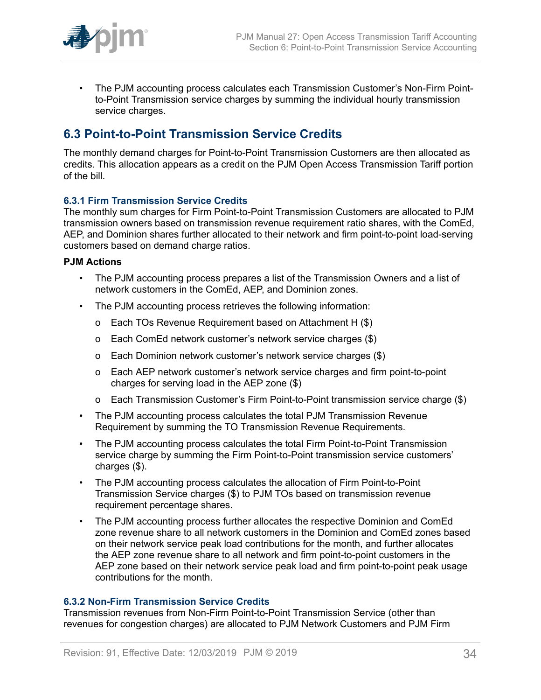

• The PJM accounting process calculates each Transmission Customer's Non-Firm Pointto-Point Transmission service charges by summing the individual hourly transmission service charges.

### <span id="page-33-0"></span>**6.3 Point-to-Point Transmission Service Credits**

The monthly demand charges for Point-to-Point Transmission Customers are then allocated as credits. This allocation appears as a credit on the PJM Open Access Transmission Tariff portion of the bill.

#### <span id="page-33-1"></span>**6.3.1 Firm Transmission Service Credits**

The monthly sum charges for Firm Point-to-Point Transmission Customers are allocated to PJM transmission owners based on transmission revenue requirement ratio shares, with the ComEd, AEP, and Dominion shares further allocated to their network and firm point-to-point load-serving customers based on demand charge ratios.

#### **PJM Actions**

- The PJM accounting process prepares a list of the Transmission Owners and a list of network customers in the ComEd, AEP, and Dominion zones.
- The PJM accounting process retrieves the following information:
	- o Each TOs Revenue Requirement based on Attachment H (\$)
	- o Each ComEd network customer's network service charges (\$)
	- o Each Dominion network customer's network service charges (\$)
	- o Each AEP network customer's network service charges and firm point-to-point charges for serving load in the AEP zone (\$)
	- o Each Transmission Customer's Firm Point-to-Point transmission service charge (\$)
- The PJM accounting process calculates the total PJM Transmission Revenue Requirement by summing the TO Transmission Revenue Requirements.
- The PJM accounting process calculates the total Firm Point-to-Point Transmission service charge by summing the Firm Point-to-Point transmission service customers' charges (\$).
- The PJM accounting process calculates the allocation of Firm Point-to-Point Transmission Service charges (\$) to PJM TOs based on transmission revenue requirement percentage shares.
- The PJM accounting process further allocates the respective Dominion and ComEd zone revenue share to all network customers in the Dominion and ComEd zones based on their network service peak load contributions for the month, and further allocates the AEP zone revenue share to all network and firm point-to-point customers in the AEP zone based on their network service peak load and firm point-to-point peak usage contributions for the month.

#### <span id="page-33-2"></span>**6.3.2 Non-Firm Transmission Service Credits**

Transmission revenues from Non-Firm Point-to-Point Transmission Service (other than revenues for congestion charges) are allocated to PJM Network Customers and PJM Firm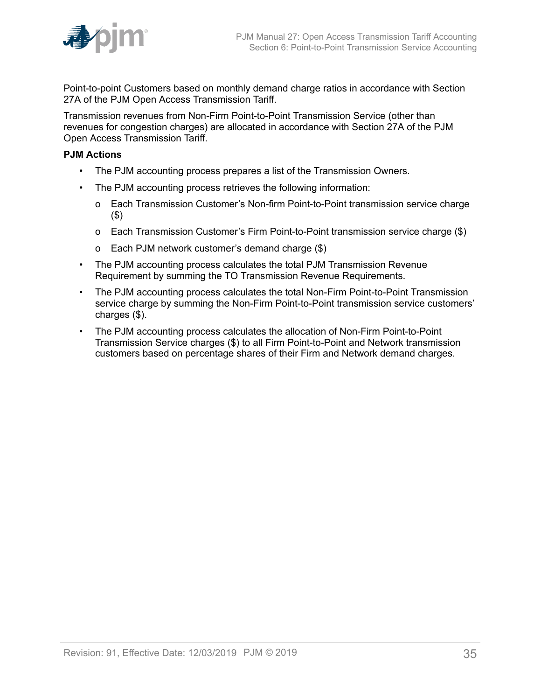

Point-to-point Customers based on monthly demand charge ratios in accordance with Section 27A of the PJM Open Access Transmission Tariff.

Transmission revenues from Non-Firm Point-to-Point Transmission Service (other than revenues for congestion charges) are allocated in accordance with Section 27A of the PJM Open Access Transmission Tariff.

#### **PJM Actions**

- The PJM accounting process prepares a list of the Transmission Owners.
- The PJM accounting process retrieves the following information:
	- o Each Transmission Customer's Non-firm Point-to-Point transmission service charge (\$)
	- o Each Transmission Customer's Firm Point-to-Point transmission service charge (\$)
	- o Each PJM network customer's demand charge (\$)
- The PJM accounting process calculates the total PJM Transmission Revenue Requirement by summing the TO Transmission Revenue Requirements.
- The PJM accounting process calculates the total Non-Firm Point-to-Point Transmission service charge by summing the Non-Firm Point-to-Point transmission service customers' charges (\$).
- The PJM accounting process calculates the allocation of Non-Firm Point-to-Point Transmission Service charges (\$) to all Firm Point-to-Point and Network transmission customers based on percentage shares of their Firm and Network demand charges.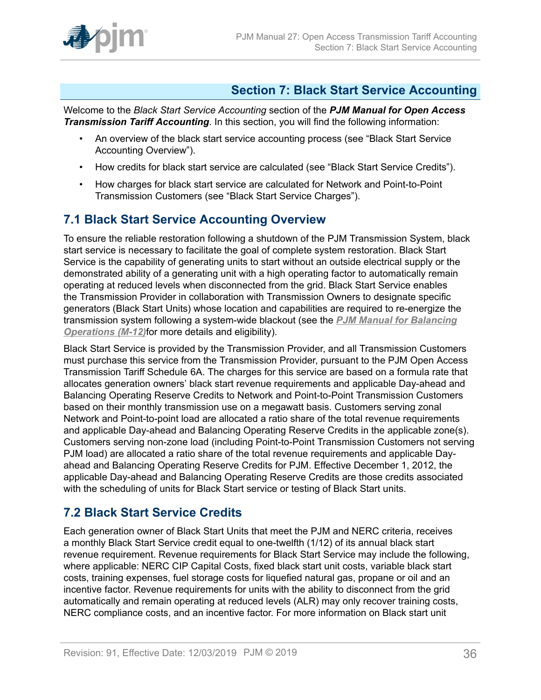

### <span id="page-35-0"></span>**Section 7: Black Start Service Accounting**

Welcome to the *Black Start Service Accounting* section of the *PJM Manual for Open Access Transmission Tariff Accounting*. In this section, you will find the following information:

- An overview of the black start service accounting process (see "Black Start Service Accounting Overview").
- How credits for black start service are calculated (see "Black Start Service Credits").
- How charges for black start service are calculated for Network and Point-to-Point Transmission Customers (see "Black Start Service Charges").

### <span id="page-35-1"></span>**7.1 Black Start Service Accounting Overview**

To ensure the reliable restoration following a shutdown of the PJM Transmission System, black start service is necessary to facilitate the goal of complete system restoration. Black Start Service is the capability of generating units to start without an outside electrical supply or the demonstrated ability of a generating unit with a high operating factor to automatically remain operating at reduced levels when disconnected from the grid. Black Start Service enables the Transmission Provider in collaboration with Transmission Owners to designate specific generators (Black Start Units) whose location and capabilities are required to re-energize the transmission system following a system-wide blackout (see the *[PJM Manual for Balancing](http://www.pjm.com/~/media/documents/manuals/m12.ashx) [Operations \(M-12\)](http://www.pjm.com/~/media/documents/manuals/m12.ashx)*for more details and eligibility).

Black Start Service is provided by the Transmission Provider, and all Transmission Customers must purchase this service from the Transmission Provider, pursuant to the PJM Open Access Transmission Tariff Schedule 6A. The charges for this service are based on a formula rate that allocates generation owners' black start revenue requirements and applicable Day-ahead and Balancing Operating Reserve Credits to Network and Point-to-Point Transmission Customers based on their monthly transmission use on a megawatt basis. Customers serving zonal Network and Point-to-point load are allocated a ratio share of the total revenue requirements and applicable Day-ahead and Balancing Operating Reserve Credits in the applicable zone(s). Customers serving non-zone load (including Point-to-Point Transmission Customers not serving PJM load) are allocated a ratio share of the total revenue requirements and applicable Dayahead and Balancing Operating Reserve Credits for PJM. Effective December 1, 2012, the applicable Day-ahead and Balancing Operating Reserve Credits are those credits associated with the scheduling of units for Black Start service or testing of Black Start units.

### <span id="page-35-2"></span>**7.2 Black Start Service Credits**

Each generation owner of Black Start Units that meet the PJM and NERC criteria, receives a monthly Black Start Service credit equal to one-twelfth (1/12) of its annual black start revenue requirement. Revenue requirements for Black Start Service may include the following, where applicable: NERC CIP Capital Costs, fixed black start unit costs, variable black start costs, training expenses, fuel storage costs for liquefied natural gas, propane or oil and an incentive factor. Revenue requirements for units with the ability to disconnect from the grid automatically and remain operating at reduced levels (ALR) may only recover training costs, NERC compliance costs, and an incentive factor. For more information on Black start unit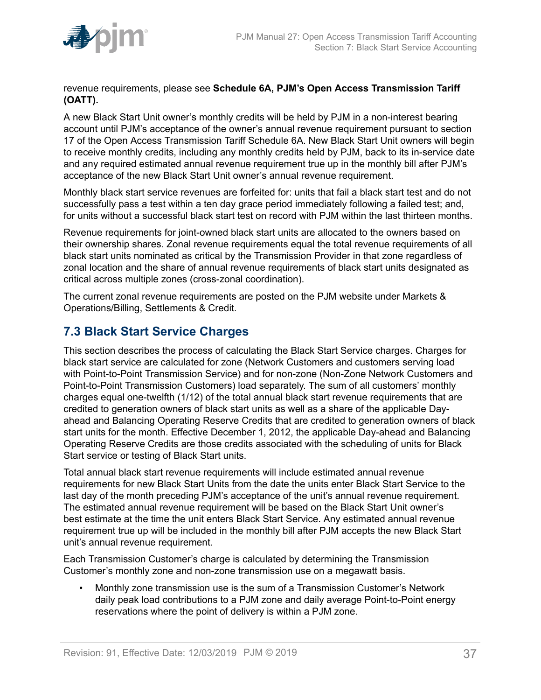

revenue requirements, please see **Schedule 6A, PJM's Open Access Transmission Tariff (OATT).**

A new Black Start Unit owner's monthly credits will be held by PJM in a non-interest bearing account until PJM's acceptance of the owner's annual revenue requirement pursuant to section 17 of the Open Access Transmission Tariff Schedule 6A. New Black Start Unit owners will begin to receive monthly credits, including any monthly credits held by PJM, back to its in-service date and any required estimated annual revenue requirement true up in the monthly bill after PJM's acceptance of the new Black Start Unit owner's annual revenue requirement.

Monthly black start service revenues are forfeited for: units that fail a black start test and do not successfully pass a test within a ten day grace period immediately following a failed test; and, for units without a successful black start test on record with PJM within the last thirteen months.

Revenue requirements for joint-owned black start units are allocated to the owners based on their ownership shares. Zonal revenue requirements equal the total revenue requirements of all black start units nominated as critical by the Transmission Provider in that zone regardless of zonal location and the share of annual revenue requirements of black start units designated as critical across multiple zones (cross-zonal coordination).

The current zonal revenue requirements are posted on the PJM website under Markets & Operations/Billing, Settlements & Credit.

### <span id="page-36-0"></span>**7.3 Black Start Service Charges**

This section describes the process of calculating the Black Start Service charges. Charges for black start service are calculated for zone (Network Customers and customers serving load with Point-to-Point Transmission Service) and for non-zone (Non-Zone Network Customers and Point-to-Point Transmission Customers) load separately. The sum of all customers' monthly charges equal one-twelfth (1/12) of the total annual black start revenue requirements that are credited to generation owners of black start units as well as a share of the applicable Dayahead and Balancing Operating Reserve Credits that are credited to generation owners of black start units for the month. Effective December 1, 2012, the applicable Day-ahead and Balancing Operating Reserve Credits are those credits associated with the scheduling of units for Black Start service or testing of Black Start units.

Total annual black start revenue requirements will include estimated annual revenue requirements for new Black Start Units from the date the units enter Black Start Service to the last day of the month preceding PJM's acceptance of the unit's annual revenue requirement. The estimated annual revenue requirement will be based on the Black Start Unit owner's best estimate at the time the unit enters Black Start Service. Any estimated annual revenue requirement true up will be included in the monthly bill after PJM accepts the new Black Start unit's annual revenue requirement.

Each Transmission Customer's charge is calculated by determining the Transmission Customer's monthly zone and non-zone transmission use on a megawatt basis.

• Monthly zone transmission use is the sum of a Transmission Customer's Network daily peak load contributions to a PJM zone and daily average Point-to-Point energy reservations where the point of delivery is within a PJM zone.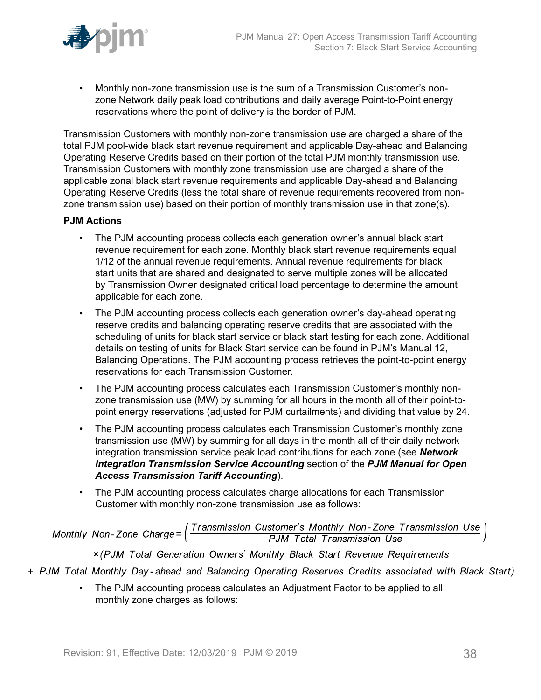

• Monthly non-zone transmission use is the sum of a Transmission Customer's nonzone Network daily peak load contributions and daily average Point-to-Point energy reservations where the point of delivery is the border of PJM.

Transmission Customers with monthly non-zone transmission use are charged a share of the total PJM pool-wide black start revenue requirement and applicable Day-ahead and Balancing Operating Reserve Credits based on their portion of the total PJM monthly transmission use. Transmission Customers with monthly zone transmission use are charged a share of the applicable zonal black start revenue requirements and applicable Day-ahead and Balancing Operating Reserve Credits (less the total share of revenue requirements recovered from nonzone transmission use) based on their portion of monthly transmission use in that zone(s).

#### **PJM Actions**

- The PJM accounting process collects each generation owner's annual black start revenue requirement for each zone. Monthly black start revenue requirements equal 1/12 of the annual revenue requirements. Annual revenue requirements for black start units that are shared and designated to serve multiple zones will be allocated by Transmission Owner designated critical load percentage to determine the amount applicable for each zone.
- The PJM accounting process collects each generation owner's day-ahead operating reserve credits and balancing operating reserve credits that are associated with the scheduling of units for black start service or black start testing for each zone. Additional details on testing of units for Black Start service can be found in PJM's Manual 12, Balancing Operations. The PJM accounting process retrieves the point-to-point energy reservations for each Transmission Customer.
- The PJM accounting process calculates each Transmission Customer's monthly nonzone transmission use (MW) by summing for all hours in the month all of their point-topoint energy reservations (adjusted for PJM curtailments) and dividing that value by 24.
- The PJM accounting process calculates each Transmission Customer's monthly zone transmission use (MW) by summing for all days in the month all of their daily network integration transmission service peak load contributions for each zone (see *Network Integration Transmission Service Accounting* section of the *PJM Manual for Open Access Transmission Tariff Accounting*).
- The PJM accounting process calculates charge allocations for each Transmission Customer with monthly non-zone transmission use as follows:

Monthly Non-Zone Charge= $\left(\frac{Transmission\ Customer's\ Monthly\ Non-Zone\ Transmission\ Use}{PJM\ Total\ Transmission\ Use}\right)$ 

x (PJM Total Generation Owners' Monthly Black Start Revenue Requirements

- + PJM Total Monthly Day-ahead and Balancing Operating Reserves Credits associated with Black Start)
	- The PJM accounting process calculates an Adjustment Factor to be applied to all monthly zone charges as follows: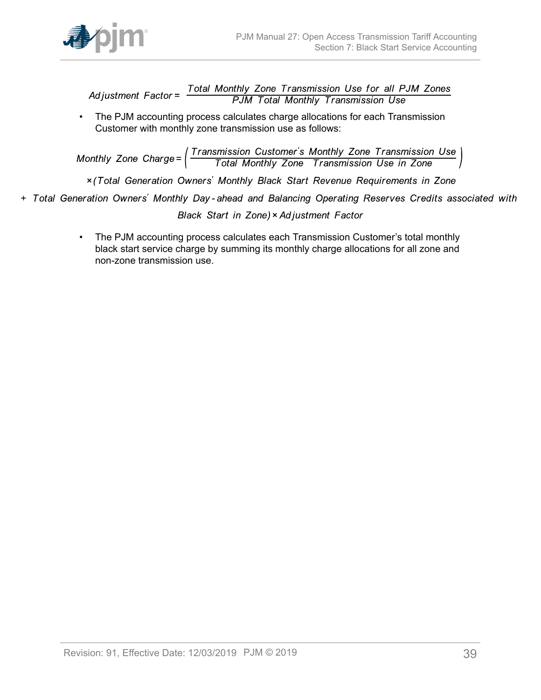

Total Monthly Zone Transmission Use for all PJM Zones<br>PJM Total Monthly Transmission Use Ad iustment  $Factor =$ 

• The PJM accounting process calculates charge allocations for each Transmission Customer with monthly zone transmission use as follows:

Monthly Zone Charge=  $\left(\frac{Transmission\ Customer's\ Monthly\ zone\ Transmission\ Use}{Total\ Monthly\ Zone\ Transmission\ Use\ in\ Zone}\right)$ 

x (Total Generation Owners' Monthly Black Start Revenue Requirements in Zone

+ Total Generation Owners' Monthly Day-ahead and Balancing Operating Reserves Credits associated with

Black Start in Zone) × Adjustment Factor

• The PJM accounting process calculates each Transmission Customer's total monthly black start service charge by summing its monthly charge allocations for all zone and non-zone transmission use.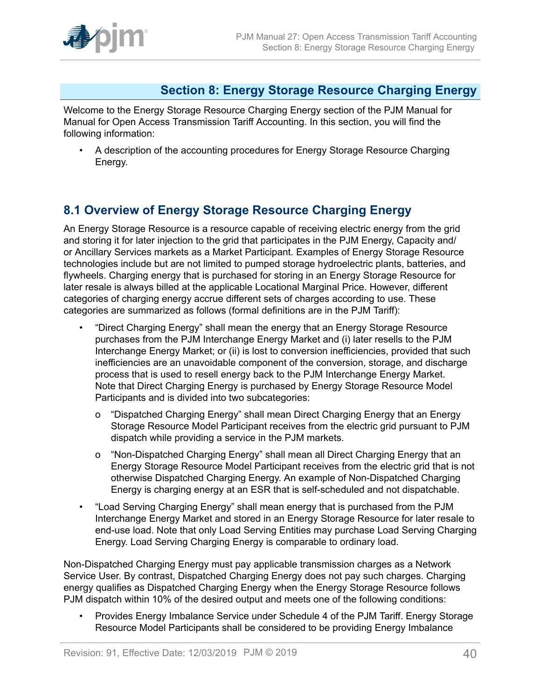

### <span id="page-39-0"></span>**Section 8: Energy Storage Resource Charging Energy**

Welcome to the Energy Storage Resource Charging Energy section of the PJM Manual for Manual for Open Access Transmission Tariff Accounting. In this section, you will find the following information:

• A description of the accounting procedures for Energy Storage Resource Charging Energy.

### <span id="page-39-1"></span>**8.1 Overview of Energy Storage Resource Charging Energy**

An Energy Storage Resource is a resource capable of receiving electric energy from the grid and storing it for later injection to the grid that participates in the PJM Energy, Capacity and/ or Ancillary Services markets as a Market Participant. Examples of Energy Storage Resource technologies include but are not limited to pumped storage hydroelectric plants, batteries, and flywheels. Charging energy that is purchased for storing in an Energy Storage Resource for later resale is always billed at the applicable Locational Marginal Price. However, different categories of charging energy accrue different sets of charges according to use. These categories are summarized as follows (formal definitions are in the PJM Tariff):

- "Direct Charging Energy" shall mean the energy that an Energy Storage Resource purchases from the PJM Interchange Energy Market and (i) later resells to the PJM Interchange Energy Market; or (ii) is lost to conversion inefficiencies, provided that such inefficiencies are an unavoidable component of the conversion, storage, and discharge process that is used to resell energy back to the PJM Interchange Energy Market. Note that Direct Charging Energy is purchased by Energy Storage Resource Model Participants and is divided into two subcategories:
	- o "Dispatched Charging Energy" shall mean Direct Charging Energy that an Energy Storage Resource Model Participant receives from the electric grid pursuant to PJM dispatch while providing a service in the PJM markets.
	- o "Non-Dispatched Charging Energy" shall mean all Direct Charging Energy that an Energy Storage Resource Model Participant receives from the electric grid that is not otherwise Dispatched Charging Energy. An example of Non-Dispatched Charging Energy is charging energy at an ESR that is self-scheduled and not dispatchable.
- "Load Serving Charging Energy" shall mean energy that is purchased from the PJM Interchange Energy Market and stored in an Energy Storage Resource for later resale to end-use load. Note that only Load Serving Entities may purchase Load Serving Charging Energy. Load Serving Charging Energy is comparable to ordinary load.

Non-Dispatched Charging Energy must pay applicable transmission charges as a Network Service User. By contrast, Dispatched Charging Energy does not pay such charges. Charging energy qualifies as Dispatched Charging Energy when the Energy Storage Resource follows PJM dispatch within 10% of the desired output and meets one of the following conditions:

• Provides Energy Imbalance Service under Schedule 4 of the PJM Tariff. Energy Storage Resource Model Participants shall be considered to be providing Energy Imbalance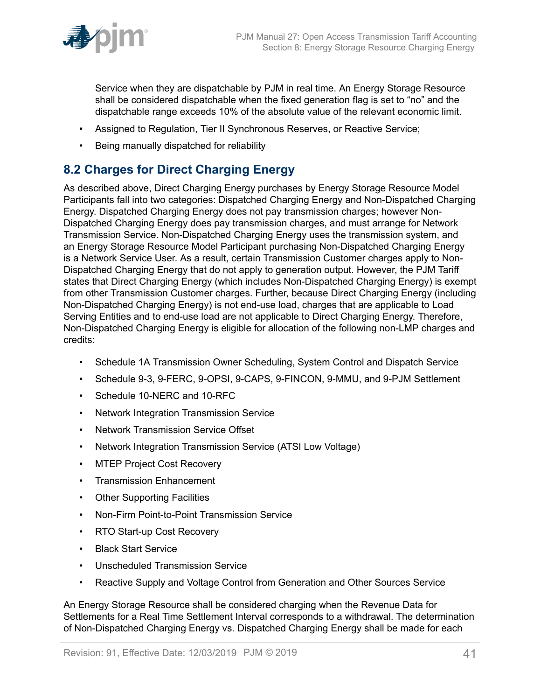

Service when they are dispatchable by PJM in real time. An Energy Storage Resource shall be considered dispatchable when the fixed generation flag is set to "no" and the dispatchable range exceeds 10% of the absolute value of the relevant economic limit.

- Assigned to Regulation, Tier II Synchronous Reserves, or Reactive Service;
- Being manually dispatched for reliability

### <span id="page-40-0"></span>**8.2 Charges for Direct Charging Energy**

As described above, Direct Charging Energy purchases by Energy Storage Resource Model Participants fall into two categories: Dispatched Charging Energy and Non-Dispatched Charging Energy. Dispatched Charging Energy does not pay transmission charges; however Non-Dispatched Charging Energy does pay transmission charges, and must arrange for Network Transmission Service. Non-Dispatched Charging Energy uses the transmission system, and an Energy Storage Resource Model Participant purchasing Non-Dispatched Charging Energy is a Network Service User. As a result, certain Transmission Customer charges apply to Non-Dispatched Charging Energy that do not apply to generation output. However, the PJM Tariff states that Direct Charging Energy (which includes Non-Dispatched Charging Energy) is exempt from other Transmission Customer charges. Further, because Direct Charging Energy (including Non-Dispatched Charging Energy) is not end-use load, charges that are applicable to Load Serving Entities and to end-use load are not applicable to Direct Charging Energy. Therefore, Non-Dispatched Charging Energy is eligible for allocation of the following non-LMP charges and credits:

- Schedule 1A Transmission Owner Scheduling, System Control and Dispatch Service
- Schedule 9-3, 9-FERC, 9-OPSI, 9-CAPS, 9-FINCON, 9-MMU, and 9-PJM Settlement
- Schedule 10-NERC and 10-RFC
- Network Integration Transmission Service
- Network Transmission Service Offset
- Network Integration Transmission Service (ATSI Low Voltage)
- MTEP Project Cost Recovery
- Transmission Enhancement
- Other Supporting Facilities
- Non-Firm Point-to-Point Transmission Service
- RTO Start-up Cost Recovery
- Black Start Service
- Unscheduled Transmission Service
- Reactive Supply and Voltage Control from Generation and Other Sources Service

An Energy Storage Resource shall be considered charging when the Revenue Data for Settlements for a Real Time Settlement Interval corresponds to a withdrawal. The determination of Non-Dispatched Charging Energy vs. Dispatched Charging Energy shall be made for each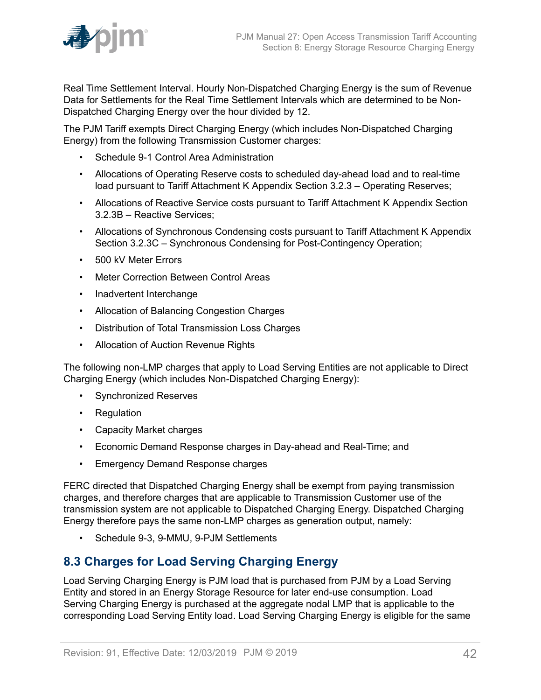

Real Time Settlement Interval. Hourly Non-Dispatched Charging Energy is the sum of Revenue Data for Settlements for the Real Time Settlement Intervals which are determined to be Non-Dispatched Charging Energy over the hour divided by 12.

The PJM Tariff exempts Direct Charging Energy (which includes Non-Dispatched Charging Energy) from the following Transmission Customer charges:

- Schedule 9-1 Control Area Administration
- Allocations of Operating Reserve costs to scheduled day-ahead load and to real-time load pursuant to Tariff Attachment K Appendix Section 3.2.3 – Operating Reserves;
- Allocations of Reactive Service costs pursuant to Tariff Attachment K Appendix Section 3.2.3B – Reactive Services;
- Allocations of Synchronous Condensing costs pursuant to Tariff Attachment K Appendix Section 3.2.3C – Synchronous Condensing for Post-Contingency Operation;
- 500 kV Meter Errors
- Meter Correction Between Control Areas
- Inadvertent Interchange
- Allocation of Balancing Congestion Charges
- Distribution of Total Transmission Loss Charges
- Allocation of Auction Revenue Rights

The following non-LMP charges that apply to Load Serving Entities are not applicable to Direct Charging Energy (which includes Non-Dispatched Charging Energy):

- Synchronized Reserves
- Regulation
- Capacity Market charges
- Economic Demand Response charges in Day-ahead and Real-Time; and
- Emergency Demand Response charges

FERC directed that Dispatched Charging Energy shall be exempt from paying transmission charges, and therefore charges that are applicable to Transmission Customer use of the transmission system are not applicable to Dispatched Charging Energy. Dispatched Charging Energy therefore pays the same non-LMP charges as generation output, namely:

• Schedule 9-3, 9-MMU, 9-PJM Settlements

### <span id="page-41-0"></span>**8.3 Charges for Load Serving Charging Energy**

Load Serving Charging Energy is PJM load that is purchased from PJM by a Load Serving Entity and stored in an Energy Storage Resource for later end-use consumption. Load Serving Charging Energy is purchased at the aggregate nodal LMP that is applicable to the corresponding Load Serving Entity load. Load Serving Charging Energy is eligible for the same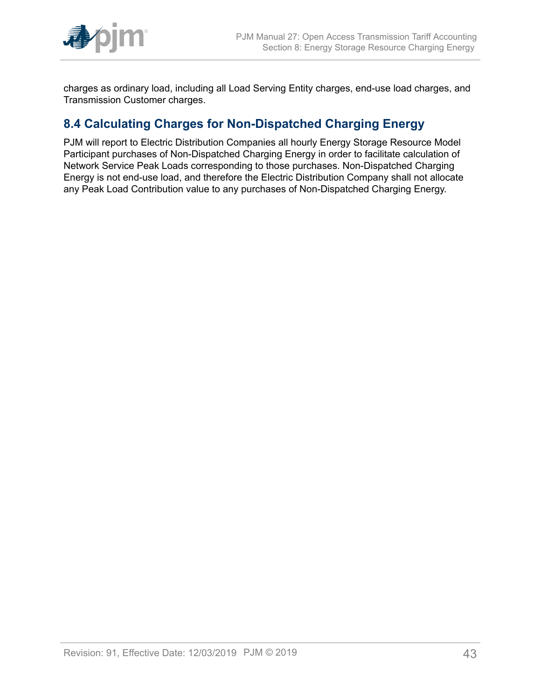

charges as ordinary load, including all Load Serving Entity charges, end-use load charges, and Transmission Customer charges.

### <span id="page-42-0"></span>**8.4 Calculating Charges for Non-Dispatched Charging Energy**

PJM will report to Electric Distribution Companies all hourly Energy Storage Resource Model Participant purchases of Non-Dispatched Charging Energy in order to facilitate calculation of Network Service Peak Loads corresponding to those purchases. Non-Dispatched Charging Energy is not end-use load, and therefore the Electric Distribution Company shall not allocate any Peak Load Contribution value to any purchases of Non-Dispatched Charging Energy.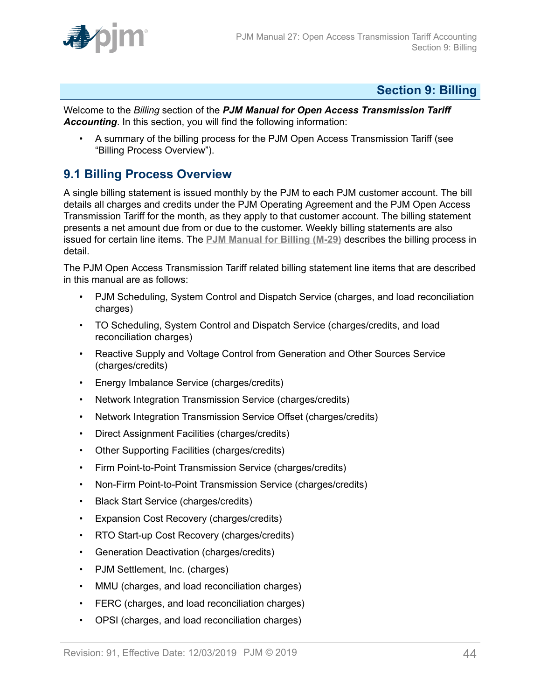

### <span id="page-43-0"></span>**Section 9: Billing**

Welcome to the *Billing* section of the *PJM Manual for Open Access Transmission Tariff Accounting*. In this section, you will find the following information:

• A summary of the billing process for the PJM Open Access Transmission Tariff (see "Billing Process Overview").

### <span id="page-43-1"></span>**9.1 Billing Process Overview**

A single billing statement is issued monthly by the PJM to each PJM customer account. The bill details all charges and credits under the PJM Operating Agreement and the PJM Open Access Transmission Tariff for the month, as they apply to that customer account. The billing statement presents a net amount due from or due to the customer. Weekly billing statements are also issued for certain line items. The **[PJM Manual for Billing \(M-29\)](http://www.pjm.com/~/media/documents/manuals/m29.ashx)** describes the billing process in detail.

The PJM Open Access Transmission Tariff related billing statement line items that are described in this manual are as follows:

- PJM Scheduling, System Control and Dispatch Service (charges, and load reconciliation charges)
- TO Scheduling, System Control and Dispatch Service (charges/credits, and load reconciliation charges)
- Reactive Supply and Voltage Control from Generation and Other Sources Service (charges/credits)
- Energy Imbalance Service (charges/credits)
- Network Integration Transmission Service (charges/credits)
- Network Integration Transmission Service Offset (charges/credits)
- Direct Assignment Facilities (charges/credits)
- Other Supporting Facilities (charges/credits)
- Firm Point-to-Point Transmission Service (charges/credits)
- Non-Firm Point-to-Point Transmission Service (charges/credits)
- Black Start Service (charges/credits)
- Expansion Cost Recovery (charges/credits)
- RTO Start-up Cost Recovery (charges/credits)
- Generation Deactivation (charges/credits)
- PJM Settlement, Inc. (charges)
- MMU (charges, and load reconciliation charges)
- FERC (charges, and load reconciliation charges)
- OPSI (charges, and load reconciliation charges)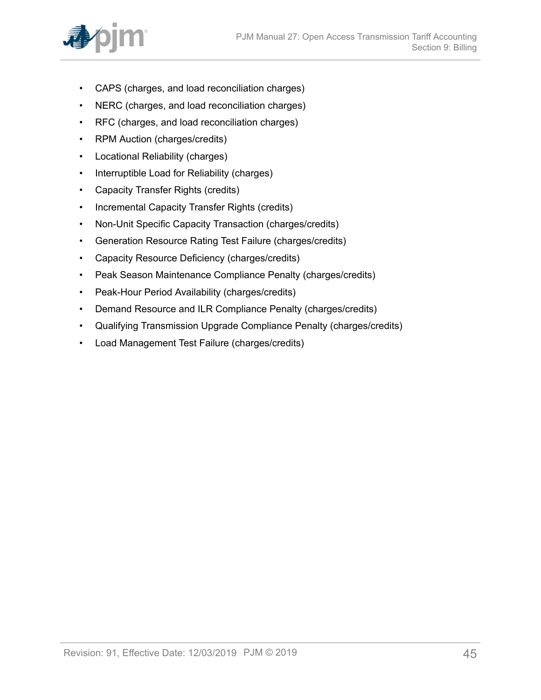

- CAPS (charges, and load reconciliation charges)
- NERC (charges, and load reconciliation charges)
- RFC (charges, and load reconciliation charges)
- RPM Auction (charges/credits)
- Locational Reliability (charges)
- Interruptible Load for Reliability (charges)
- Capacity Transfer Rights (credits)
- Incremental Capacity Transfer Rights (credits)
- Non-Unit Specific Capacity Transaction (charges/credits)
- Generation Resource Rating Test Failure (charges/credits)
- Capacity Resource Deficiency (charges/credits)
- Peak Season Maintenance Compliance Penalty (charges/credits)
- Peak-Hour Period Availability (charges/credits)
- Demand Resource and ILR Compliance Penalty (charges/credits)
- Qualifying Transmission Upgrade Compliance Penalty (charges/credits)
- Load Management Test Failure (charges/credits)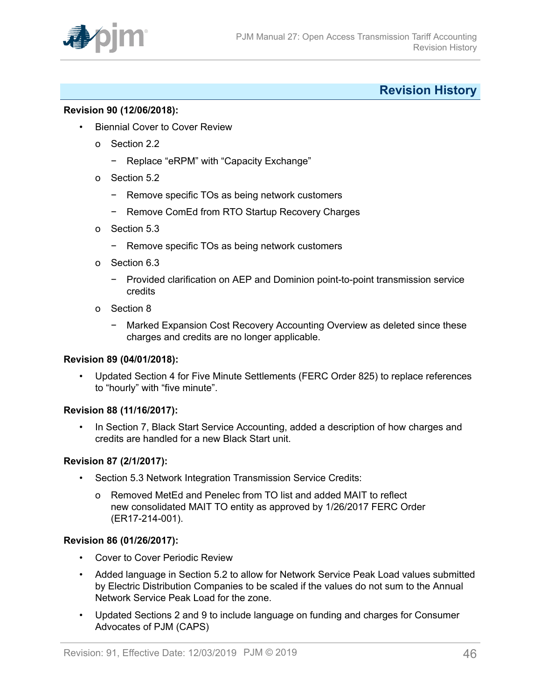

### <span id="page-45-0"></span>**Revision History**

#### **Revision 90 (12/06/2018):**

- Biennial Cover to Cover Review
	- o Section 2.2
		- − Replace "eRPM" with "Capacity Exchange"
	- o Section 5.2
		- − Remove specific TOs as being network customers
		- − Remove ComEd from RTO Startup Recovery Charges
	- o Section 5.3
		- − Remove specific TOs as being network customers
	- o Section 6.3
		- − Provided clarification on AEP and Dominion point-to-point transmission service credits
	- o Section 8
		- − Marked Expansion Cost Recovery Accounting Overview as deleted since these charges and credits are no longer applicable.

#### **Revision 89 (04/01/2018):**

• Updated Section 4 for Five Minute Settlements (FERC Order 825) to replace references to "hourly" with "five minute".

#### **Revision 88 (11/16/2017):**

In Section 7, Black Start Service Accounting, added a description of how charges and credits are handled for a new Black Start unit.

#### **Revision 87 (2/1/2017):**

- Section 5.3 Network Integration Transmission Service Credits:
	- o Removed MetEd and Penelec from TO list and added MAIT to reflect new consolidated MAIT TO entity as approved by 1/26/2017 FERC Order (ER17-214-001).

#### **Revision 86 (01/26/2017):**

- Cover to Cover Periodic Review
- Added language in Section 5.2 to allow for Network Service Peak Load values submitted by Electric Distribution Companies to be scaled if the values do not sum to the Annual Network Service Peak Load for the zone.
- Updated Sections 2 and 9 to include language on funding and charges for Consumer Advocates of PJM (CAPS)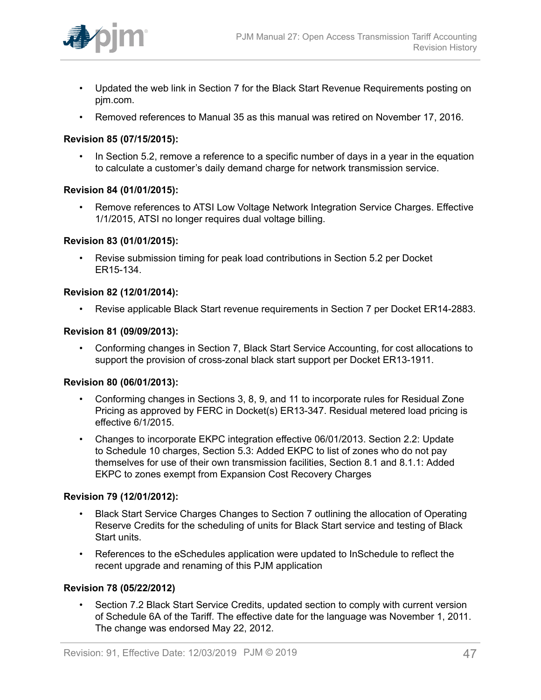

- Updated the web link in Section 7 for the Black Start Revenue Requirements posting on pjm.com.
- Removed references to Manual 35 as this manual was retired on November 17, 2016.

#### **Revision 85 (07/15/2015):**

• In Section 5.2, remove a reference to a specific number of days in a year in the equation to calculate a customer's daily demand charge for network transmission service.

#### **Revision 84 (01/01/2015):**

• Remove references to ATSI Low Voltage Network Integration Service Charges. Effective 1/1/2015, ATSI no longer requires dual voltage billing.

#### **Revision 83 (01/01/2015):**

• Revise submission timing for peak load contributions in Section 5.2 per Docket ER15-134.

#### **Revision 82 (12/01/2014):**

• Revise applicable Black Start revenue requirements in Section 7 per Docket ER14-2883.

#### **Revision 81 (09/09/2013):**

• Conforming changes in Section 7, Black Start Service Accounting, for cost allocations to support the provision of cross-zonal black start support per Docket ER13-1911.

#### **Revision 80 (06/01/2013):**

- Conforming changes in Sections 3, 8, 9, and 11 to incorporate rules for Residual Zone Pricing as approved by FERC in Docket(s) ER13-347. Residual metered load pricing is effective 6/1/2015.
- Changes to incorporate EKPC integration effective 06/01/2013. Section 2.2: Update to Schedule 10 charges, Section 5.3: Added EKPC to list of zones who do not pay themselves for use of their own transmission facilities, Section 8.1 and 8.1.1: Added EKPC to zones exempt from Expansion Cost Recovery Charges

#### **Revision 79 (12/01/2012):**

- Black Start Service Charges Changes to Section 7 outlining the allocation of Operating Reserve Credits for the scheduling of units for Black Start service and testing of Black Start units.
- References to the eSchedules application were updated to InSchedule to reflect the recent upgrade and renaming of this PJM application

#### **Revision 78 (05/22/2012)**

• Section 7.2 Black Start Service Credits, updated section to comply with current version of Schedule 6A of the Tariff. The effective date for the language was November 1, 2011. The change was endorsed May 22, 2012.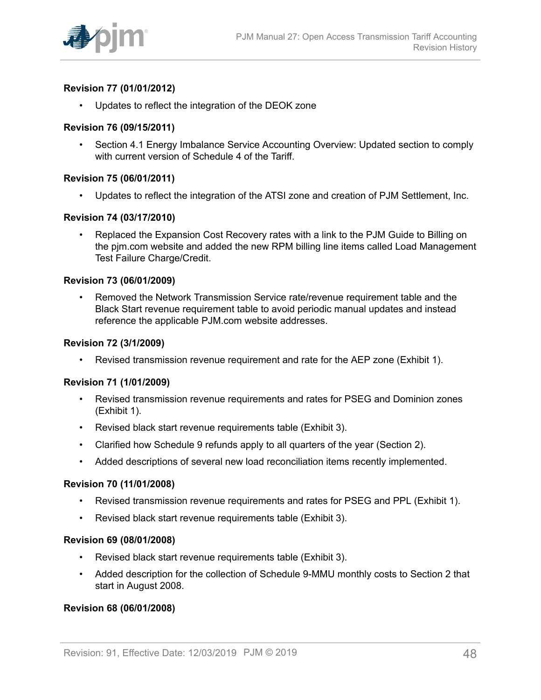

#### **Revision 77 (01/01/2012)**

• Updates to reflect the integration of the DEOK zone

#### **Revision 76 (09/15/2011)**

• Section 4.1 Energy Imbalance Service Accounting Overview: Updated section to comply with current version of Schedule 4 of the Tariff.

#### **Revision 75 (06/01/2011)**

• Updates to reflect the integration of the ATSI zone and creation of PJM Settlement, Inc.

#### **Revision 74 (03/17/2010)**

• Replaced the Expansion Cost Recovery rates with a link to the PJM Guide to Billing on the pjm.com website and added the new RPM billing line items called Load Management Test Failure Charge/Credit.

#### **Revision 73 (06/01/2009)**

• Removed the Network Transmission Service rate/revenue requirement table and the Black Start revenue requirement table to avoid periodic manual updates and instead reference the applicable PJM.com website addresses.

#### **Revision 72 (3/1/2009)**

• Revised transmission revenue requirement and rate for the AEP zone (Exhibit 1).

#### **Revision 71 (1/01/2009)**

- Revised transmission revenue requirements and rates for PSEG and Dominion zones (Exhibit 1).
- Revised black start revenue requirements table (Exhibit 3).
- Clarified how Schedule 9 refunds apply to all quarters of the year (Section 2).
- Added descriptions of several new load reconciliation items recently implemented.

#### **Revision 70 (11/01/2008)**

- Revised transmission revenue requirements and rates for PSEG and PPL (Exhibit 1).
- Revised black start revenue requirements table (Exhibit 3).

#### **Revision 69 (08/01/2008)**

- Revised black start revenue requirements table (Exhibit 3).
- Added description for the collection of Schedule 9-MMU monthly costs to Section 2 that start in August 2008.

#### **Revision 68 (06/01/2008)**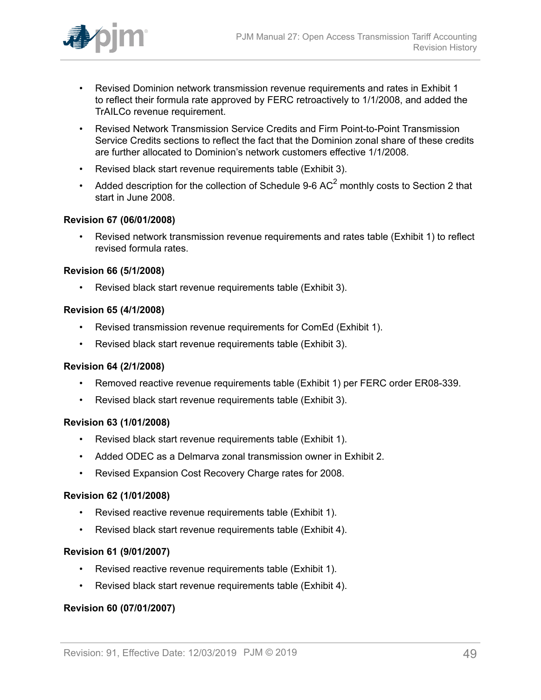

- Revised Dominion network transmission revenue requirements and rates in Exhibit 1 to reflect their formula rate approved by FERC retroactively to 1/1/2008, and added the TrAILCo revenue requirement.
- Revised Network Transmission Service Credits and Firm Point-to-Point Transmission Service Credits sections to reflect the fact that the Dominion zonal share of these credits are further allocated to Dominion's network customers effective 1/1/2008.
- Revised black start revenue requirements table (Exhibit 3).
- Added description for the collection of Schedule 9-6 AC<sup>2</sup> monthly costs to Section 2 that start in June 2008.

#### **Revision 67 (06/01/2008)**

• Revised network transmission revenue requirements and rates table (Exhibit 1) to reflect revised formula rates.

#### **Revision 66 (5/1/2008)**

• Revised black start revenue requirements table (Exhibit 3).

#### **Revision 65 (4/1/2008)**

- Revised transmission revenue requirements for ComEd (Exhibit 1).
- Revised black start revenue requirements table (Exhibit 3).

#### **Revision 64 (2/1/2008)**

- Removed reactive revenue requirements table (Exhibit 1) per FERC order ER08-339.
- Revised black start revenue requirements table (Exhibit 3).

#### **Revision 63 (1/01/2008)**

- Revised black start revenue requirements table (Exhibit 1).
- Added ODEC as a Delmarva zonal transmission owner in Exhibit 2.
- Revised Expansion Cost Recovery Charge rates for 2008.

#### **Revision 62 (1/01/2008)**

- Revised reactive revenue requirements table (Exhibit 1).
- Revised black start revenue requirements table (Exhibit 4).

#### **Revision 61 (9/01/2007)**

- Revised reactive revenue requirements table (Exhibit 1).
- Revised black start revenue requirements table (Exhibit 4).

#### **Revision 60 (07/01/2007)**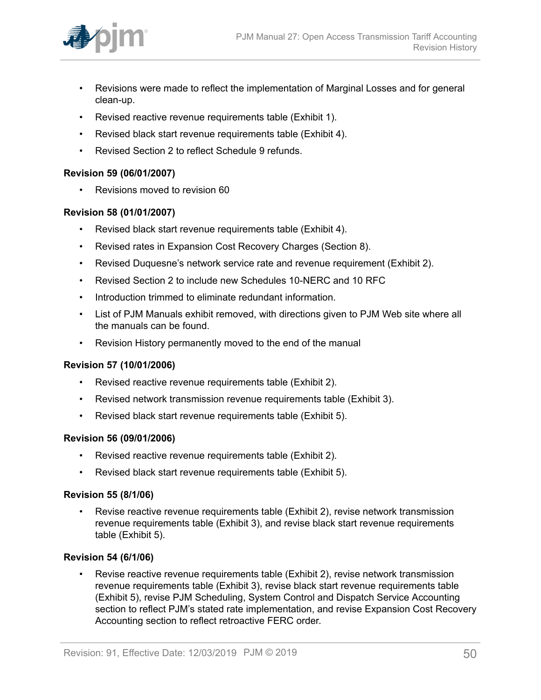

- Revisions were made to reflect the implementation of Marginal Losses and for general clean-up.
- Revised reactive revenue requirements table (Exhibit 1).
- Revised black start revenue requirements table (Exhibit 4).
- Revised Section 2 to reflect Schedule 9 refunds.

#### **Revision 59 (06/01/2007)**

• Revisions moved to revision 60

#### **Revision 58 (01/01/2007)**

- Revised black start revenue requirements table (Exhibit 4).
- Revised rates in Expansion Cost Recovery Charges (Section 8).
- Revised Duquesne's network service rate and revenue requirement (Exhibit 2).
- Revised Section 2 to include new Schedules 10-NERC and 10 RFC
- Introduction trimmed to eliminate redundant information.
- List of PJM Manuals exhibit removed, with directions given to PJM Web site where all the manuals can be found.
- Revision History permanently moved to the end of the manual

#### **Revision 57 (10/01/2006)**

- Revised reactive revenue requirements table (Exhibit 2).
- Revised network transmission revenue requirements table (Exhibit 3).
- Revised black start revenue requirements table (Exhibit 5).

#### **Revision 56 (09/01/2006)**

- Revised reactive revenue requirements table (Exhibit 2).
- Revised black start revenue requirements table (Exhibit 5).

#### **Revision 55 (8/1/06)**

• Revise reactive revenue requirements table (Exhibit 2), revise network transmission revenue requirements table (Exhibit 3), and revise black start revenue requirements table (Exhibit 5).

#### **Revision 54 (6/1/06)**

• Revise reactive revenue requirements table (Exhibit 2), revise network transmission revenue requirements table (Exhibit 3), revise black start revenue requirements table (Exhibit 5), revise PJM Scheduling, System Control and Dispatch Service Accounting section to reflect PJM's stated rate implementation, and revise Expansion Cost Recovery Accounting section to reflect retroactive FERC order.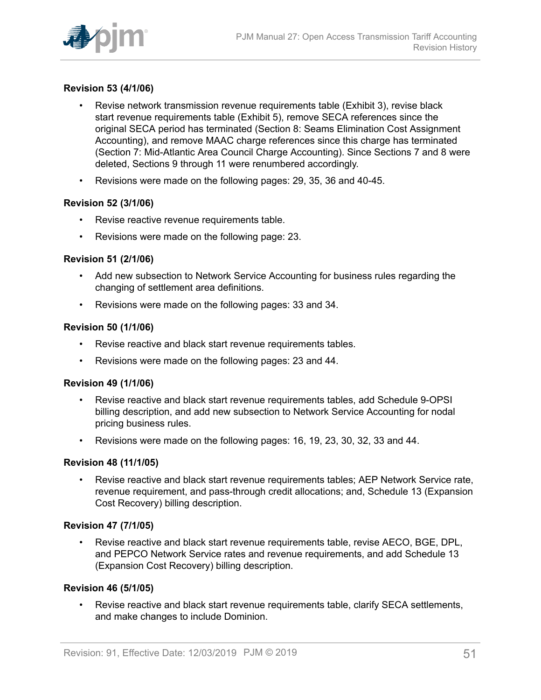

#### **Revision 53 (4/1/06)**

- Revise network transmission revenue requirements table (Exhibit 3), revise black start revenue requirements table (Exhibit 5), remove SECA references since the original SECA period has terminated (Section 8: Seams Elimination Cost Assignment Accounting), and remove MAAC charge references since this charge has terminated (Section 7: Mid-Atlantic Area Council Charge Accounting). Since Sections 7 and 8 were deleted, Sections 9 through 11 were renumbered accordingly.
- Revisions were made on the following pages: 29, 35, 36 and 40-45.

#### **Revision 52 (3/1/06)**

- Revise reactive revenue requirements table.
- Revisions were made on the following page: 23.

#### **Revision 51 (2/1/06)**

- Add new subsection to Network Service Accounting for business rules regarding the changing of settlement area definitions.
- Revisions were made on the following pages: 33 and 34.

#### **Revision 50 (1/1/06)**

- Revise reactive and black start revenue requirements tables.
- Revisions were made on the following pages: 23 and 44.

#### **Revision 49 (1/1/06)**

- Revise reactive and black start revenue requirements tables, add Schedule 9-OPSI billing description, and add new subsection to Network Service Accounting for nodal pricing business rules.
- Revisions were made on the following pages: 16, 19, 23, 30, 32, 33 and 44.

#### **Revision 48 (11/1/05)**

• Revise reactive and black start revenue requirements tables; AEP Network Service rate, revenue requirement, and pass-through credit allocations; and, Schedule 13 (Expansion Cost Recovery) billing description.

#### **Revision 47 (7/1/05)**

• Revise reactive and black start revenue requirements table, revise AECO, BGE, DPL, and PEPCO Network Service rates and revenue requirements, and add Schedule 13 (Expansion Cost Recovery) billing description.

#### **Revision 46 (5/1/05)**

• Revise reactive and black start revenue requirements table, clarify SECA settlements, and make changes to include Dominion.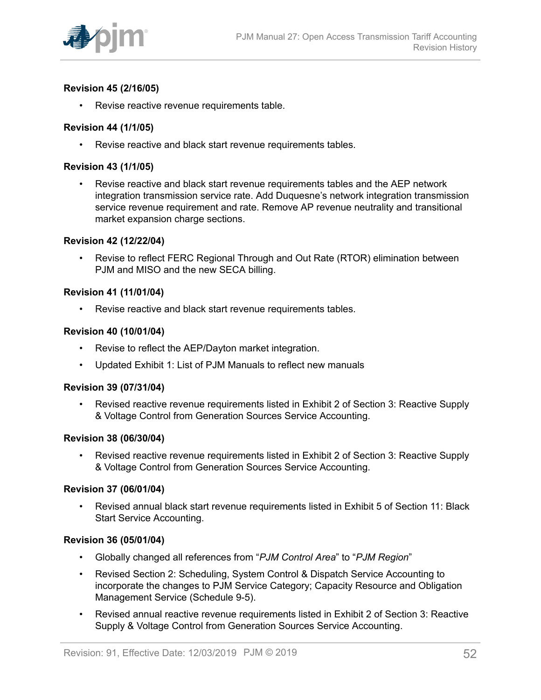

#### **Revision 45 (2/16/05)**

• Revise reactive revenue requirements table.

#### **Revision 44 (1/1/05)**

• Revise reactive and black start revenue requirements tables.

#### **Revision 43 (1/1/05)**

• Revise reactive and black start revenue requirements tables and the AEP network integration transmission service rate. Add Duquesne's network integration transmission service revenue requirement and rate. Remove AP revenue neutrality and transitional market expansion charge sections.

#### **Revision 42 (12/22/04)**

• Revise to reflect FERC Regional Through and Out Rate (RTOR) elimination between PJM and MISO and the new SECA billing.

#### **Revision 41 (11/01/04)**

• Revise reactive and black start revenue requirements tables.

#### **Revision 40 (10/01/04)**

- Revise to reflect the AEP/Dayton market integration.
- Updated Exhibit 1: List of PJM Manuals to reflect new manuals

#### **Revision 39 (07/31/04)**

• Revised reactive revenue requirements listed in Exhibit 2 of Section 3: Reactive Supply & Voltage Control from Generation Sources Service Accounting.

#### **Revision 38 (06/30/04)**

• Revised reactive revenue requirements listed in Exhibit 2 of Section 3: Reactive Supply & Voltage Control from Generation Sources Service Accounting.

#### **Revision 37 (06/01/04)**

• Revised annual black start revenue requirements listed in Exhibit 5 of Section 11: Black Start Service Accounting.

#### **Revision 36 (05/01/04)**

- Globally changed all references from "*PJM Control Area*" to "*PJM Region*"
- Revised Section 2: Scheduling, System Control & Dispatch Service Accounting to incorporate the changes to PJM Service Category; Capacity Resource and Obligation Management Service (Schedule 9-5).
- Revised annual reactive revenue requirements listed in Exhibit 2 of Section 3: Reactive Supply & Voltage Control from Generation Sources Service Accounting.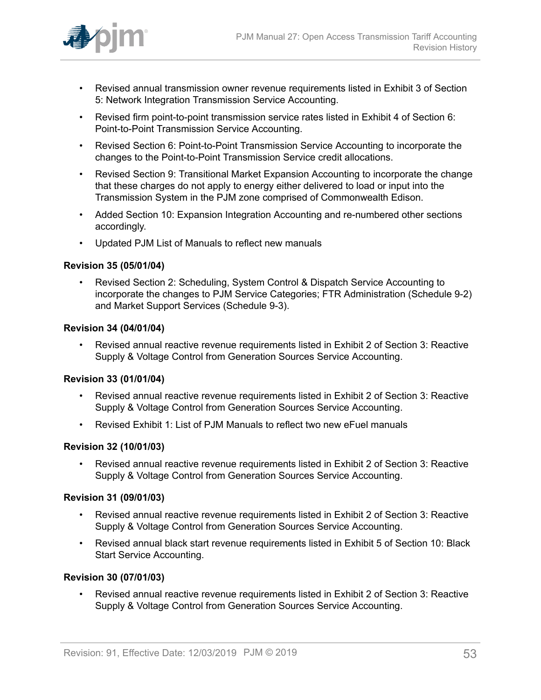

- Revised annual transmission owner revenue requirements listed in Exhibit 3 of Section 5: Network Integration Transmission Service Accounting.
- Revised firm point-to-point transmission service rates listed in Exhibit 4 of Section 6: Point-to-Point Transmission Service Accounting.
- Revised Section 6: Point-to-Point Transmission Service Accounting to incorporate the changes to the Point-to-Point Transmission Service credit allocations.
- Revised Section 9: Transitional Market Expansion Accounting to incorporate the change that these charges do not apply to energy either delivered to load or input into the Transmission System in the PJM zone comprised of Commonwealth Edison.
- Added Section 10: Expansion Integration Accounting and re-numbered other sections accordingly.
- Updated PJM List of Manuals to reflect new manuals

#### **Revision 35 (05/01/04)**

• Revised Section 2: Scheduling, System Control & Dispatch Service Accounting to incorporate the changes to PJM Service Categories; FTR Administration (Schedule 9-2) and Market Support Services (Schedule 9-3).

#### **Revision 34 (04/01/04)**

• Revised annual reactive revenue requirements listed in Exhibit 2 of Section 3: Reactive Supply & Voltage Control from Generation Sources Service Accounting.

#### **Revision 33 (01/01/04)**

- Revised annual reactive revenue requirements listed in Exhibit 2 of Section 3: Reactive Supply & Voltage Control from Generation Sources Service Accounting.
- Revised Exhibit 1: List of PJM Manuals to reflect two new eFuel manuals

#### **Revision 32 (10/01/03)**

• Revised annual reactive revenue requirements listed in Exhibit 2 of Section 3: Reactive Supply & Voltage Control from Generation Sources Service Accounting.

#### **Revision 31 (09/01/03)**

- Revised annual reactive revenue requirements listed in Exhibit 2 of Section 3: Reactive Supply & Voltage Control from Generation Sources Service Accounting.
- Revised annual black start revenue requirements listed in Exhibit 5 of Section 10: Black Start Service Accounting.

#### **Revision 30 (07/01/03)**

• Revised annual reactive revenue requirements listed in Exhibit 2 of Section 3: Reactive Supply & Voltage Control from Generation Sources Service Accounting.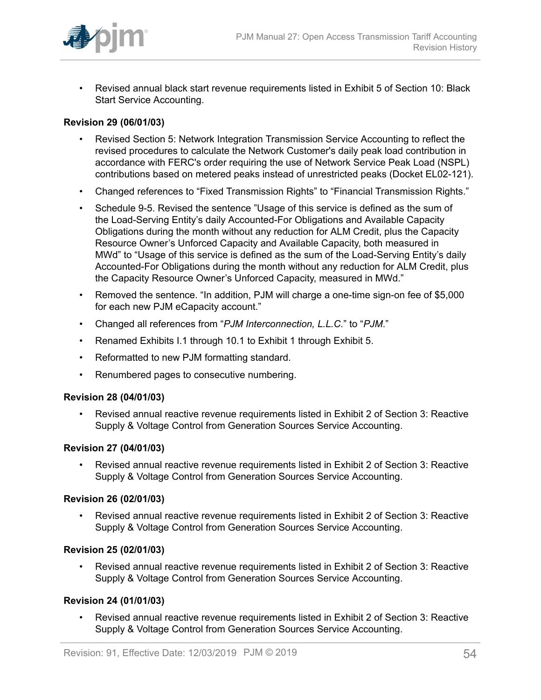

• Revised annual black start revenue requirements listed in Exhibit 5 of Section 10: Black Start Service Accounting.

#### **Revision 29 (06/01/03)**

- Revised Section 5: Network Integration Transmission Service Accounting to reflect the revised procedures to calculate the Network Customer's daily peak load contribution in accordance with FERC's order requiring the use of Network Service Peak Load (NSPL) contributions based on metered peaks instead of unrestricted peaks (Docket EL02-121).
- Changed references to "Fixed Transmission Rights" to "Financial Transmission Rights."
- Schedule 9-5. Revised the sentence "Usage of this service is defined as the sum of the Load-Serving Entity's daily Accounted-For Obligations and Available Capacity Obligations during the month without any reduction for ALM Credit, plus the Capacity Resource Owner's Unforced Capacity and Available Capacity, both measured in MWd" to "Usage of this service is defined as the sum of the Load-Serving Entity's daily Accounted-For Obligations during the month without any reduction for ALM Credit, plus the Capacity Resource Owner's Unforced Capacity, measured in MWd."
- Removed the sentence. "In addition, PJM will charge a one-time sign-on fee of \$5,000 for each new PJM eCapacity account."
- Changed all references from "*PJM Interconnection, L.L.C.*" to "*PJM*."
- Renamed Exhibits I.1 through 10.1 to Exhibit 1 through Exhibit 5.
- Reformatted to new PJM formatting standard.
- Renumbered pages to consecutive numbering.

#### **Revision 28 (04/01/03)**

• Revised annual reactive revenue requirements listed in Exhibit 2 of Section 3: Reactive Supply & Voltage Control from Generation Sources Service Accounting.

#### **Revision 27 (04/01/03)**

• Revised annual reactive revenue requirements listed in Exhibit 2 of Section 3: Reactive Supply & Voltage Control from Generation Sources Service Accounting.

#### **Revision 26 (02/01/03)**

• Revised annual reactive revenue requirements listed in Exhibit 2 of Section 3: Reactive Supply & Voltage Control from Generation Sources Service Accounting.

#### **Revision 25 (02/01/03)**

• Revised annual reactive revenue requirements listed in Exhibit 2 of Section 3: Reactive Supply & Voltage Control from Generation Sources Service Accounting.

#### **Revision 24 (01/01/03)**

• Revised annual reactive revenue requirements listed in Exhibit 2 of Section 3: Reactive Supply & Voltage Control from Generation Sources Service Accounting.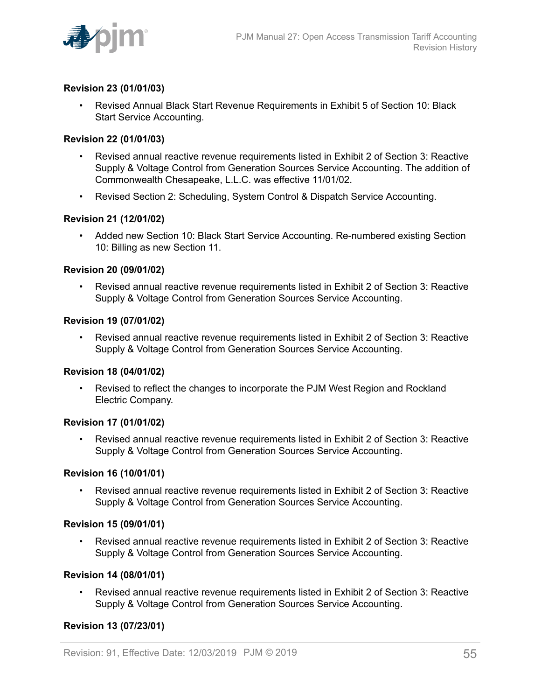

#### **Revision 23 (01/01/03)**

• Revised Annual Black Start Revenue Requirements in Exhibit 5 of Section 10: Black Start Service Accounting.

#### **Revision 22 (01/01/03)**

- Revised annual reactive revenue requirements listed in Exhibit 2 of Section 3: Reactive Supply & Voltage Control from Generation Sources Service Accounting. The addition of Commonwealth Chesapeake, L.L.C. was effective 11/01/02.
- Revised Section 2: Scheduling, System Control & Dispatch Service Accounting.

#### **Revision 21 (12/01/02)**

• Added new Section 10: Black Start Service Accounting. Re-numbered existing Section 10: Billing as new Section 11.

#### **Revision 20 (09/01/02)**

• Revised annual reactive revenue requirements listed in Exhibit 2 of Section 3: Reactive Supply & Voltage Control from Generation Sources Service Accounting.

#### **Revision 19 (07/01/02)**

• Revised annual reactive revenue requirements listed in Exhibit 2 of Section 3: Reactive Supply & Voltage Control from Generation Sources Service Accounting.

#### **Revision 18 (04/01/02)**

• Revised to reflect the changes to incorporate the PJM West Region and Rockland Electric Company.

#### **Revision 17 (01/01/02)**

• Revised annual reactive revenue requirements listed in Exhibit 2 of Section 3: Reactive Supply & Voltage Control from Generation Sources Service Accounting.

#### **Revision 16 (10/01/01)**

• Revised annual reactive revenue requirements listed in Exhibit 2 of Section 3: Reactive Supply & Voltage Control from Generation Sources Service Accounting.

#### **Revision 15 (09/01/01)**

• Revised annual reactive revenue requirements listed in Exhibit 2 of Section 3: Reactive Supply & Voltage Control from Generation Sources Service Accounting.

#### **Revision 14 (08/01/01)**

• Revised annual reactive revenue requirements listed in Exhibit 2 of Section 3: Reactive Supply & Voltage Control from Generation Sources Service Accounting.

#### **Revision 13 (07/23/01)**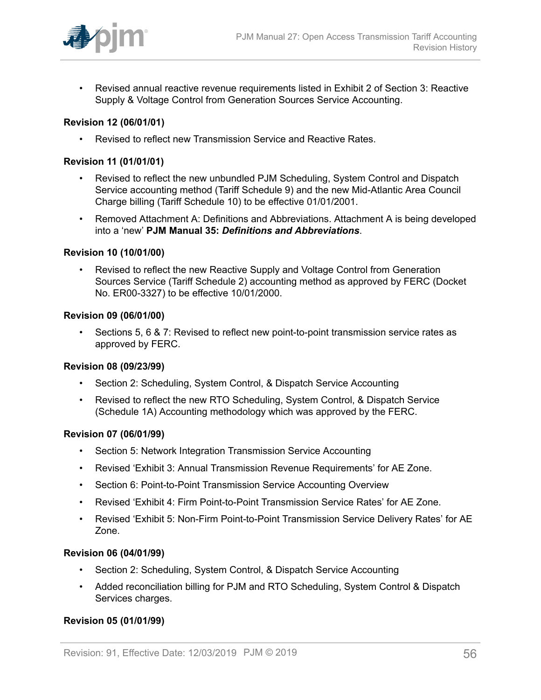

• Revised annual reactive revenue requirements listed in Exhibit 2 of Section 3: Reactive Supply & Voltage Control from Generation Sources Service Accounting.

#### **Revision 12 (06/01/01)**

• Revised to reflect new Transmission Service and Reactive Rates.

#### **Revision 11 (01/01/01)**

- Revised to reflect the new unbundled PJM Scheduling, System Control and Dispatch Service accounting method (Tariff Schedule 9) and the new Mid-Atlantic Area Council Charge billing (Tariff Schedule 10) to be effective 01/01/2001.
- Removed Attachment A: Definitions and Abbreviations. Attachment A is being developed into a 'new' **PJM Manual 35:** *Definitions and Abbreviations*.

#### **Revision 10 (10/01/00)**

• Revised to reflect the new Reactive Supply and Voltage Control from Generation Sources Service (Tariff Schedule 2) accounting method as approved by FERC (Docket No. ER00-3327) to be effective 10/01/2000.

#### **Revision 09 (06/01/00)**

• Sections 5, 6 & 7: Revised to reflect new point-to-point transmission service rates as approved by FERC.

#### **Revision 08 (09/23/99)**

- Section 2: Scheduling, System Control, & Dispatch Service Accounting
- Revised to reflect the new RTO Scheduling, System Control, & Dispatch Service (Schedule 1A) Accounting methodology which was approved by the FERC.

#### **Revision 07 (06/01/99)**

- Section 5: Network Integration Transmission Service Accounting
- Revised 'Exhibit 3: Annual Transmission Revenue Requirements' for AE Zone.
- Section 6: Point-to-Point Transmission Service Accounting Overview
- Revised 'Exhibit 4: Firm Point-to-Point Transmission Service Rates' for AE Zone.
- Revised 'Exhibit 5: Non-Firm Point-to-Point Transmission Service Delivery Rates' for AE Zone.

#### **Revision 06 (04/01/99)**

- Section 2: Scheduling, System Control, & Dispatch Service Accounting
- Added reconciliation billing for PJM and RTO Scheduling, System Control & Dispatch Services charges.

#### **Revision 05 (01/01/99)**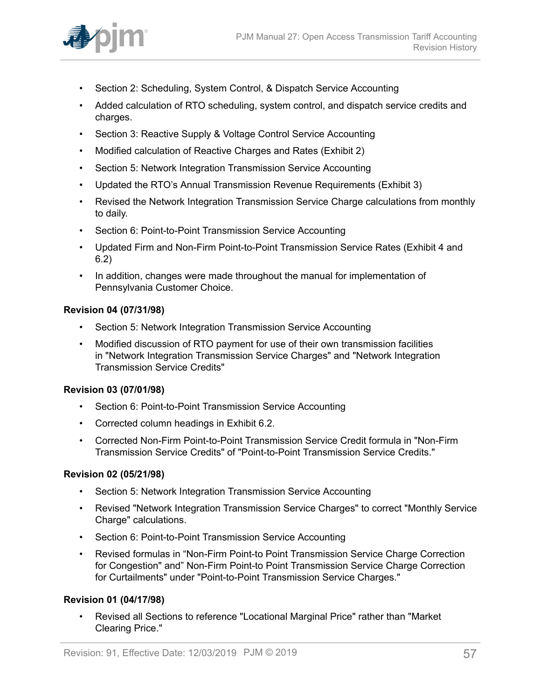

- Section 2: Scheduling, System Control, & Dispatch Service Accounting
- Added calculation of RTO scheduling, system control, and dispatch service credits and charges.
- Section 3: Reactive Supply & Voltage Control Service Accounting
- Modified calculation of Reactive Charges and Rates (Exhibit 2)
- Section 5: Network Integration Transmission Service Accounting
- Updated the RTO's Annual Transmission Revenue Requirements (Exhibit 3)
- Revised the Network Integration Transmission Service Charge calculations from monthly to daily.
- Section 6: Point-to-Point Transmission Service Accounting
- Updated Firm and Non-Firm Point-to-Point Transmission Service Rates (Exhibit 4 and 6.2)
- In addition, changes were made throughout the manual for implementation of Pennsylvania Customer Choice.

#### **Revision 04 (07/31/98)**

- Section 5: Network Integration Transmission Service Accounting
- Modified discussion of RTO payment for use of their own transmission facilities in "Network Integration Transmission Service Charges" and "Network Integration Transmission Service Credits"

#### **Revision 03 (07/01/98)**

- Section 6: Point-to-Point Transmission Service Accounting
- Corrected column headings in Exhibit 6.2.
- Corrected Non-Firm Point-to-Point Transmission Service Credit formula in "Non-Firm Transmission Service Credits" of "Point-to-Point Transmission Service Credits."

#### **Revision 02 (05/21/98)**

- Section 5: Network Integration Transmission Service Accounting
- Revised "Network Integration Transmission Service Charges" to correct "Monthly Service Charge" calculations.
- Section 6: Point-to-Point Transmission Service Accounting
- Revised formulas in "Non-Firm Point-to Point Transmission Service Charge Correction for Congestion" and" Non-Firm Point-to Point Transmission Service Charge Correction for Curtailments" under "Point-to-Point Transmission Service Charges."

#### **Revision 01 (04/17/98)**

• Revised all Sections to reference "Locational Marginal Price" rather than "Market Clearing Price."